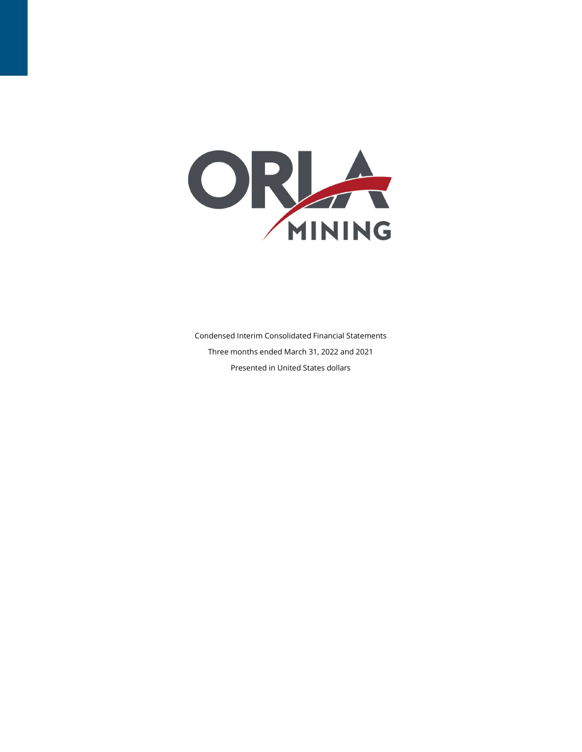

Condensed Interim Consolidated Financial Statements Three months ended March 31, 2022 and 2021 Presented in United States dollars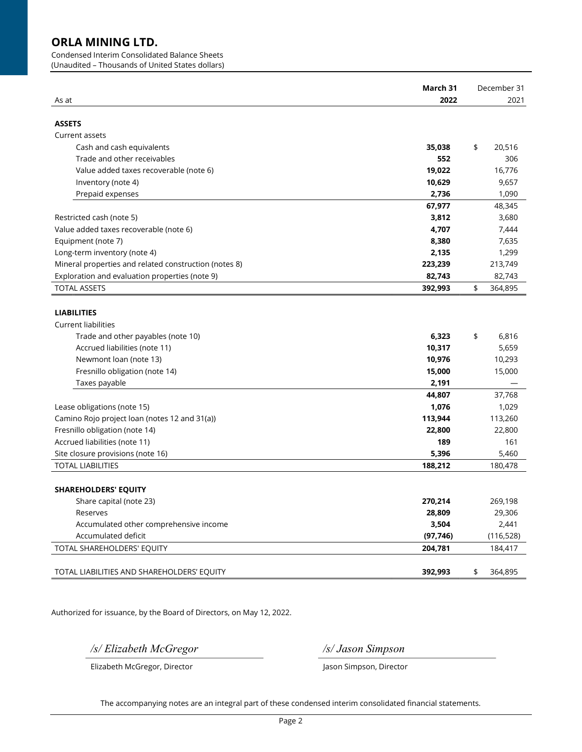Condensed Interim Consolidated Balance Sheets

(Unaudited – Thousands of United States dollars)

|                                                       | March 31  | December 31   |
|-------------------------------------------------------|-----------|---------------|
| As at                                                 | 2022      | 2021          |
|                                                       |           |               |
| <b>ASSETS</b>                                         |           |               |
| Current assets                                        |           |               |
| Cash and cash equivalents                             | 35,038    | \$<br>20,516  |
| Trade and other receivables                           | 552       | 306           |
| Value added taxes recoverable (note 6)                | 19,022    | 16,776        |
| Inventory (note 4)                                    | 10,629    | 9,657         |
| Prepaid expenses                                      | 2,736     | 1,090         |
|                                                       | 67,977    | 48,345        |
| Restricted cash (note 5)                              | 3,812     | 3,680         |
| Value added taxes recoverable (note 6)                | 4,707     | 7,444         |
| Equipment (note 7)                                    | 8,380     | 7,635         |
| Long-term inventory (note 4)                          | 2,135     | 1,299         |
| Mineral properties and related construction (notes 8) | 223,239   | 213,749       |
| Exploration and evaluation properties (note 9)        | 82,743    | 82,743        |
| <b>TOTAL ASSETS</b>                                   | 392,993   | \$<br>364,895 |
|                                                       |           |               |
| <b>LIABILITIES</b>                                    |           |               |
| <b>Current liabilities</b>                            |           |               |
| Trade and other payables (note 10)                    | 6,323     | \$<br>6,816   |
| Accrued liabilities (note 11)                         | 10,317    | 5,659         |
| Newmont loan (note 13)                                | 10,976    | 10,293        |
| Fresnillo obligation (note 14)                        | 15,000    | 15,000        |
| Taxes payable                                         | 2,191     |               |
|                                                       | 44,807    | 37,768        |
| Lease obligations (note 15)                           | 1,076     | 1,029         |
| Camino Rojo project loan (notes 12 and 31(a))         | 113,944   | 113,260       |
| Fresnillo obligation (note 14)                        | 22,800    | 22,800        |
| Accrued liabilities (note 11)                         | 189       | 161           |
| Site closure provisions (note 16)                     | 5,396     | 5,460         |
| <b>TOTAL LIABILITIES</b>                              | 188,212   | 180,478       |
|                                                       |           |               |
| <b>SHAREHOLDERS' EQUITY</b>                           |           |               |
| Share capital (note 23)                               | 270,214   | 269,198       |
| Reserves                                              | 28,809    | 29,306        |
| Accumulated other comprehensive income                | 3,504     | 2,441         |
| Accumulated deficit                                   | (97, 746) | (116, 528)    |
| TOTAL SHAREHOLDERS' EQUITY                            | 204,781   | 184,417       |
|                                                       |           |               |
| TOTAL LIABILITIES AND SHAREHOLDERS' EQUITY            | 392,993   | \$<br>364,895 |
|                                                       |           |               |

Authorized for issuance, by the Board of Directors, on May 12, 2022.

/s/ Elizabeth McGregor /s/ Jason Simpson

Elizabeth McGregor, Director **Jason Simpson, Director** Jason Simpson, Director

The accompanying notes are an integral part of these condensed interim consolidated financial statements.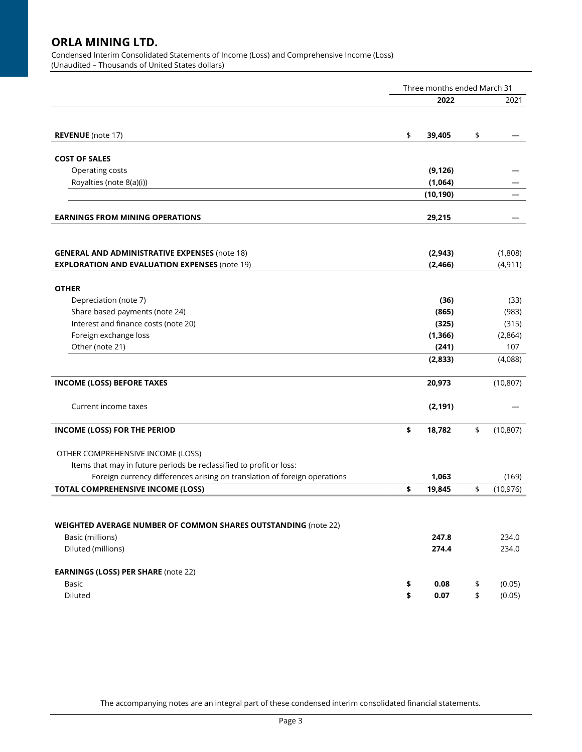Condensed Interim Consolidated Statements of Income (Loss) and Comprehensive Income (Loss) (Unaudited – Thousands of United States dollars)

|                                                                                                          | Three months ended March 31 |                   |    |                |  |  |
|----------------------------------------------------------------------------------------------------------|-----------------------------|-------------------|----|----------------|--|--|
|                                                                                                          |                             | 2022              |    | 2021           |  |  |
|                                                                                                          |                             |                   |    |                |  |  |
| <b>REVENUE</b> (note 17)                                                                                 | \$                          | 39,405            | \$ |                |  |  |
| <b>COST OF SALES</b>                                                                                     |                             |                   |    |                |  |  |
| Operating costs                                                                                          |                             | (9, 126)          |    |                |  |  |
| Royalties (note 8(a)(i))                                                                                 |                             | (1,064)           |    |                |  |  |
|                                                                                                          |                             | (10, 190)         |    |                |  |  |
| <b>EARNINGS FROM MINING OPERATIONS</b>                                                                   |                             | 29,215            |    |                |  |  |
|                                                                                                          |                             |                   |    |                |  |  |
| <b>GENERAL AND ADMINISTRATIVE EXPENSES (note 18)</b>                                                     |                             | (2,943)           |    | (1,808)        |  |  |
| <b>EXPLORATION AND EVALUATION EXPENSES (note 19)</b>                                                     |                             | (2, 466)          |    | (4, 911)       |  |  |
|                                                                                                          |                             |                   |    |                |  |  |
| <b>OTHER</b>                                                                                             |                             |                   |    |                |  |  |
| Depreciation (note 7)                                                                                    |                             | (36)              |    | (33)           |  |  |
| Share based payments (note 24)                                                                           |                             | (865)             |    | (983)          |  |  |
| Interest and finance costs (note 20)                                                                     |                             | (325)             |    | (315)          |  |  |
| Foreign exchange loss<br>Other (note 21)                                                                 |                             | (1, 366)<br>(241) |    | (2,864)<br>107 |  |  |
|                                                                                                          |                             | (2,833)           |    | (4,088)        |  |  |
|                                                                                                          |                             |                   |    |                |  |  |
| <b>INCOME (LOSS) BEFORE TAXES</b>                                                                        |                             | 20,973            |    | (10, 807)      |  |  |
| Current income taxes                                                                                     |                             | (2, 191)          |    |                |  |  |
|                                                                                                          |                             |                   |    |                |  |  |
| INCOME (LOSS) FOR THE PERIOD                                                                             | \$                          | 18,782            | \$ | (10, 807)      |  |  |
|                                                                                                          |                             |                   |    |                |  |  |
| OTHER COMPREHENSIVE INCOME (LOSS)<br>Items that may in future periods be reclassified to profit or loss: |                             |                   |    |                |  |  |
| Foreign currency differences arising on translation of foreign operations                                |                             | 1,063             |    | (169)          |  |  |
| <b>TOTAL COMPREHENSIVE INCOME (LOSS)</b>                                                                 | \$                          | 19,845            | \$ | (10, 976)      |  |  |
|                                                                                                          |                             |                   |    |                |  |  |
|                                                                                                          |                             |                   |    |                |  |  |
| <b>WEIGHTED AVERAGE NUMBER OF COMMON SHARES OUTSTANDING</b> (note 22)                                    |                             |                   |    |                |  |  |
| Basic (millions)                                                                                         |                             | 247.8             |    | 234.0          |  |  |
| Diluted (millions)                                                                                       |                             | 274.4             |    | 234.0          |  |  |
| <b>EARNINGS (LOSS) PER SHARE (note 22)</b>                                                               |                             |                   |    |                |  |  |
| <b>Basic</b>                                                                                             | \$                          | 0.08              | \$ | (0.05)         |  |  |
| Diluted                                                                                                  | \$                          | 0.07              | \$ | (0.05)         |  |  |

The accompanying notes are an integral part of these condensed interim consolidated financial statements.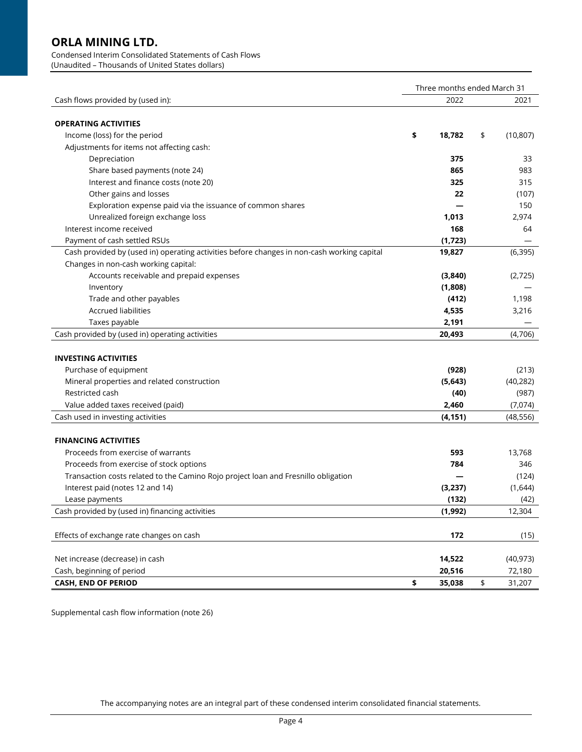### Condensed Interim Consolidated Statements of Cash Flows

(Unaudited – Thousands of United States dollars)

|                                                                                            | Three months ended March 31 |                       |           |  |  |
|--------------------------------------------------------------------------------------------|-----------------------------|-----------------------|-----------|--|--|
| Cash flows provided by (used in):                                                          | 2022                        |                       | 2021      |  |  |
|                                                                                            |                             |                       |           |  |  |
| <b>OPERATING ACTIVITIES</b>                                                                |                             |                       |           |  |  |
| Income (loss) for the period                                                               | \$<br>18,782                | \$                    | (10, 807) |  |  |
| Adjustments for items not affecting cash:                                                  |                             |                       |           |  |  |
| Depreciation                                                                               | 375                         |                       | 33        |  |  |
| Share based payments (note 24)                                                             | 865                         |                       | 983       |  |  |
| Interest and finance costs (note 20)                                                       | 325                         |                       | 315       |  |  |
| Other gains and losses                                                                     | 22                          |                       | (107)     |  |  |
| Exploration expense paid via the issuance of common shares                                 |                             |                       | 150       |  |  |
| Unrealized foreign exchange loss                                                           | 1,013                       |                       | 2,974     |  |  |
| Interest income received                                                                   | 168                         |                       | 64        |  |  |
| Payment of cash settled RSUs                                                               | (1,723)                     |                       |           |  |  |
| Cash provided by (used in) operating activities before changes in non-cash working capital | 19,827                      |                       | (6, 395)  |  |  |
| Changes in non-cash working capital:                                                       |                             |                       |           |  |  |
| Accounts receivable and prepaid expenses                                                   | (3,840)                     |                       | (2,725)   |  |  |
| Inventory                                                                                  | (1,808)                     |                       |           |  |  |
| Trade and other payables                                                                   | (412)                       |                       | 1,198     |  |  |
| <b>Accrued liabilities</b>                                                                 | 4,535                       |                       | 3,216     |  |  |
| Taxes payable                                                                              | 2,191                       |                       |           |  |  |
| Cash provided by (used in) operating activities                                            | 20,493                      |                       | (4,706)   |  |  |
|                                                                                            |                             |                       |           |  |  |
| <b>INVESTING ACTIVITIES</b>                                                                |                             |                       |           |  |  |
| Purchase of equipment                                                                      | (928)                       |                       | (213)     |  |  |
| Mineral properties and related construction                                                | (5,643)                     |                       | (40, 282) |  |  |
| Restricted cash                                                                            | (40)                        |                       | (987)     |  |  |
| Value added taxes received (paid)                                                          | 2,460                       |                       | (7,074)   |  |  |
| Cash used in investing activities                                                          | (4, 151)                    |                       | (48, 556) |  |  |
|                                                                                            |                             |                       |           |  |  |
| <b>FINANCING ACTIVITIES</b>                                                                |                             |                       |           |  |  |
| Proceeds from exercise of warrants                                                         | 593                         |                       | 13,768    |  |  |
| Proceeds from exercise of stock options                                                    | 784                         |                       | 346       |  |  |
| Transaction costs related to the Camino Rojo project loan and Fresnillo obligation         |                             |                       | (124)     |  |  |
| Interest paid (notes 12 and 14)                                                            | (3,237)                     |                       | (1,644)   |  |  |
| Lease payments                                                                             | (132)                       |                       | (42)      |  |  |
| Cash provided by (used in) financing activities                                            | (1,992)                     |                       | 12,304    |  |  |
|                                                                                            |                             |                       |           |  |  |
| Effects of exchange rate changes on cash                                                   | 172                         |                       | (15)      |  |  |
|                                                                                            |                             |                       |           |  |  |
| Net increase (decrease) in cash                                                            | 14,522                      |                       | (40, 973) |  |  |
| Cash, beginning of period                                                                  | 20,516                      |                       | 72,180    |  |  |
| <b>CASH, END OF PERIOD</b>                                                                 | \$<br>35,038                | $\pmb{\mathfrak{\$}}$ | 31,207    |  |  |

Supplemental cash flow information (note 26)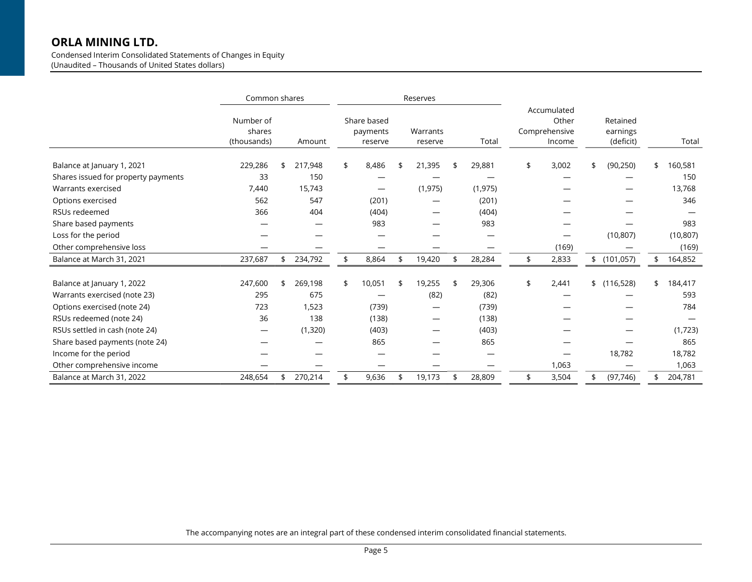Condensed Interim Consolidated Statements of Changes in Equity (Unaudited – Thousands of United States dollars)

|                                     | Common shares                      |               |                                    | Reserves            |              |                                                 |                                   |               |
|-------------------------------------|------------------------------------|---------------|------------------------------------|---------------------|--------------|-------------------------------------------------|-----------------------------------|---------------|
|                                     | Number of<br>shares<br>(thousands) | Amount        | Share based<br>payments<br>reserve | Warrants<br>reserve | Total        | Accumulated<br>Other<br>Comprehensive<br>Income | Retained<br>earnings<br>(deficit) | Total         |
| Balance at January 1, 2021          | 229,286                            | 217,948       | \$<br>8,486                        | 21,395              | 29,881       | \$<br>3,002                                     | \$<br>(90, 250)                   | \$<br>160,581 |
| Shares issued for property payments | 33                                 | 150           |                                    |                     |              |                                                 |                                   | 150           |
| Warrants exercised                  | 7,440                              | 15,743        |                                    | (1, 975)            | (1, 975)     |                                                 |                                   | 13,768        |
| Options exercised                   | 562                                | 547           | (201)                              |                     | (201)        |                                                 |                                   | 346           |
| RSUs redeemed                       | 366                                | 404           | (404)                              |                     | (404)        |                                                 |                                   |               |
| Share based payments                |                                    |               | 983                                |                     | 983          |                                                 |                                   | 983           |
| Loss for the period                 |                                    |               |                                    |                     |              |                                                 | (10, 807)                         | (10, 807)     |
| Other comprehensive loss            |                                    |               |                                    |                     |              | (169)                                           |                                   | (169)         |
| Balance at March 31, 2021           | 237,687                            | 234,792       | \$<br>8,864                        | 19,420              | \$<br>28,284 | \$<br>2,833                                     | \$(101,057)                       | \$<br>164,852 |
| Balance at January 1, 2022          | 247,600                            | \$<br>269,198 | \$<br>10,051                       | 19,255              | 29,306       | \$<br>2,441                                     | \$(116,528)                       | \$<br>184,417 |
| Warrants exercised (note 23)        | 295                                | 675           |                                    | (82)                | (82)         |                                                 |                                   | 593           |
| Options exercised (note 24)         | 723                                | 1,523         | (739)                              | —                   | (739)        |                                                 |                                   | 784           |
| RSUs redeemed (note 24)             | 36                                 | 138           | (138)                              |                     | (138)        |                                                 |                                   |               |
| RSUs settled in cash (note 24)      | –                                  | (1,320)       | (403)                              |                     | (403)        |                                                 |                                   | (1,723)       |
| Share based payments (note 24)      |                                    |               | 865                                |                     | 865          |                                                 |                                   | 865           |
| Income for the period               |                                    |               |                                    |                     |              |                                                 | 18,782                            | 18,782        |
| Other comprehensive income          |                                    |               |                                    |                     |              | 1,063                                           |                                   | 1,063         |
| Balance at March 31, 2022           | 248,654                            | 270,214       | \$<br>9,636                        | 19,173              | 28,809       | \$<br>3,504                                     | \$<br>(97, 746)                   | \$<br>204,781 |

The accompanying notes are an integral part of these condensed interim consolidated financial statements.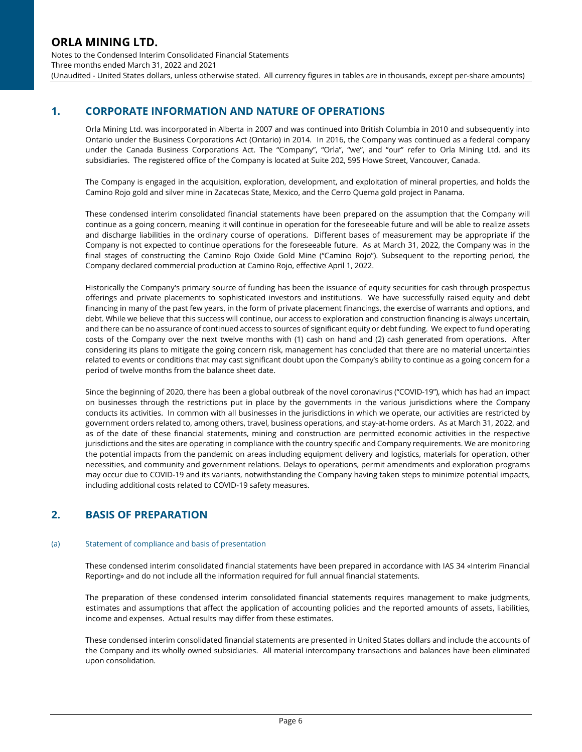## 1. CORPORATE INFORMATION AND NATURE OF OPERATIONS

Orla Mining Ltd. was incorporated in Alberta in 2007 and was continued into British Columbia in 2010 and subsequently into Ontario under the Business Corporations Act (Ontario) in 2014. In 2016, the Company was continued as a federal company under the Canada Business Corporations Act. The "Company", "Orla", "we", and "our" refer to Orla Mining Ltd. and its subsidiaries. The registered office of the Company is located at Suite 202, 595 Howe Street, Vancouver, Canada.

The Company is engaged in the acquisition, exploration, development, and exploitation of mineral properties, and holds the Camino Rojo gold and silver mine in Zacatecas State, Mexico, and the Cerro Quema gold project in Panama.

These condensed interim consolidated financial statements have been prepared on the assumption that the Company will continue as a going concern, meaning it will continue in operation for the foreseeable future and will be able to realize assets and discharge liabilities in the ordinary course of operations. Different bases of measurement may be appropriate if the Company is not expected to continue operations for the foreseeable future. As at March 31, 2022, the Company was in the final stages of constructing the Camino Rojo Oxide Gold Mine ("Camino Rojo"). Subsequent to the reporting period, the Company declared commercial production at Camino Rojo, effective April 1, 2022.

Historically the Company's primary source of funding has been the issuance of equity securities for cash through prospectus offerings and private placements to sophisticated investors and institutions. We have successfully raised equity and debt financing in many of the past few years, in the form of private placement financings, the exercise of warrants and options, and debt. While we believe that this success will continue, our access to exploration and construction financing is always uncertain, and there can be no assurance of continued access to sources of significant equity or debt funding. We expect to fund operating costs of the Company over the next twelve months with (1) cash on hand and (2) cash generated from operations. After considering its plans to mitigate the going concern risk, management has concluded that there are no material uncertainties related to events or conditions that may cast significant doubt upon the Company's ability to continue as a going concern for a period of twelve months from the balance sheet date.

Since the beginning of 2020, there has been a global outbreak of the novel coronavirus ("COVID-19"), which has had an impact on businesses through the restrictions put in place by the governments in the various jurisdictions where the Company conducts its activities. In common with all businesses in the jurisdictions in which we operate, our activities are restricted by government orders related to, among others, travel, business operations, and stay-at-home orders. As at March 31, 2022, and as of the date of these financial statements, mining and construction are permitted economic activities in the respective jurisdictions and the sites are operating in compliance with the country specific and Company requirements. We are monitoring the potential impacts from the pandemic on areas including equipment delivery and logistics, materials for operation, other necessities, and community and government relations. Delays to operations, permit amendments and exploration programs may occur due to COVID-19 and its variants, notwithstanding the Company having taken steps to minimize potential impacts, including additional costs related to COVID-19 safety measures.

## 2. BASIS OF PREPARATION

### (a) Statement of compliance and basis of presentation

These condensed interim consolidated financial statements have been prepared in accordance with IAS 34 «Interim Financial Reporting» and do not include all the information required for full annual financial statements.

The preparation of these condensed interim consolidated financial statements requires management to make judgments, estimates and assumptions that affect the application of accounting policies and the reported amounts of assets, liabilities, income and expenses. Actual results may differ from these estimates.

These condensed interim consolidated financial statements are presented in United States dollars and include the accounts of the Company and its wholly owned subsidiaries. All material intercompany transactions and balances have been eliminated upon consolidation.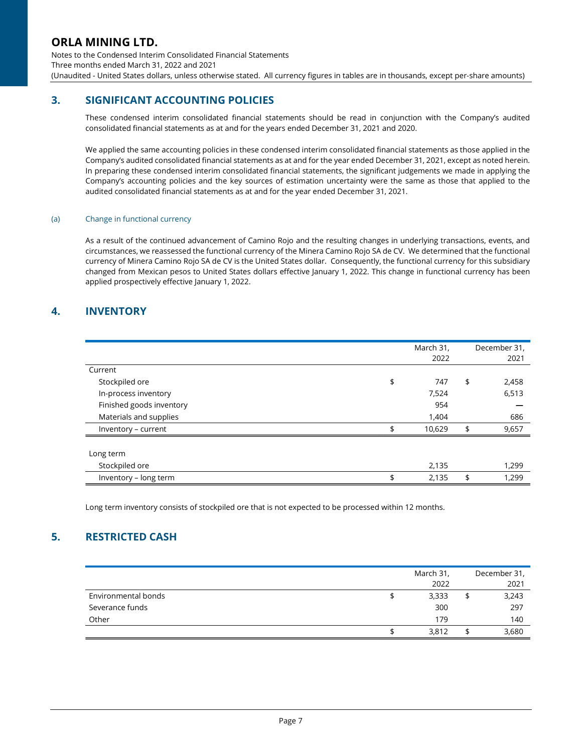Notes to the Condensed Interim Consolidated Financial Statements Three months ended March 31, 2022 and 2021 (Unaudited - United States dollars, unless otherwise stated. All currency figures in tables are in thousands, except per-share amounts)

## 3. SIGNIFICANT ACCOUNTING POLICIES

These condensed interim consolidated financial statements should be read in conjunction with the Company's audited consolidated financial statements as at and for the years ended December 31, 2021 and 2020.

We applied the same accounting policies in these condensed interim consolidated financial statements as those applied in the Company's audited consolidated financial statements as at and for the year ended December 31, 2021, except as noted herein. In preparing these condensed interim consolidated financial statements, the significant judgements we made in applying the Company's accounting policies and the key sources of estimation uncertainty were the same as those that applied to the audited consolidated financial statements as at and for the year ended December 31, 2021.

### (a) Change in functional currency

As a result of the continued advancement of Camino Rojo and the resulting changes in underlying transactions, events, and circumstances, we reassessed the functional currency of the Minera Camino Rojo SA de CV. We determined that the functional currency of Minera Camino Rojo SA de CV is the United States dollar. Consequently, the functional currency for this subsidiary changed from Mexican pesos to United States dollars effective January 1, 2022. This change in functional currency has been applied prospectively effective January 1, 2022.

## 4. INVENTORY

|                          | March 31,<br>2022 | December 31,<br>2021 |
|--------------------------|-------------------|----------------------|
| Current                  |                   |                      |
| Stockpiled ore           | \$<br>747         | \$<br>2,458          |
| In-process inventory     | 7,524             | 6,513                |
| Finished goods inventory | 954               |                      |
| Materials and supplies   | 1,404             | 686                  |
| Inventory - current      | \$<br>10,629      | \$<br>9,657          |
|                          |                   |                      |
| Long term                |                   |                      |
| Stockpiled ore           | 2,135             | 1,299                |
| Inventory - long term    | \$<br>2,135       | \$<br>1,299          |

Long term inventory consists of stockpiled ore that is not expected to be processed within 12 months.

## 5. RESTRICTED CASH

|                     | March 31,<br>2022 | December 31,<br>2021 |
|---------------------|-------------------|----------------------|
| Environmental bonds | 3,333             | 3,243                |
| Severance funds     | 300               | 297                  |
| Other               | 179               | 140                  |
|                     | 3,812             | 3,680                |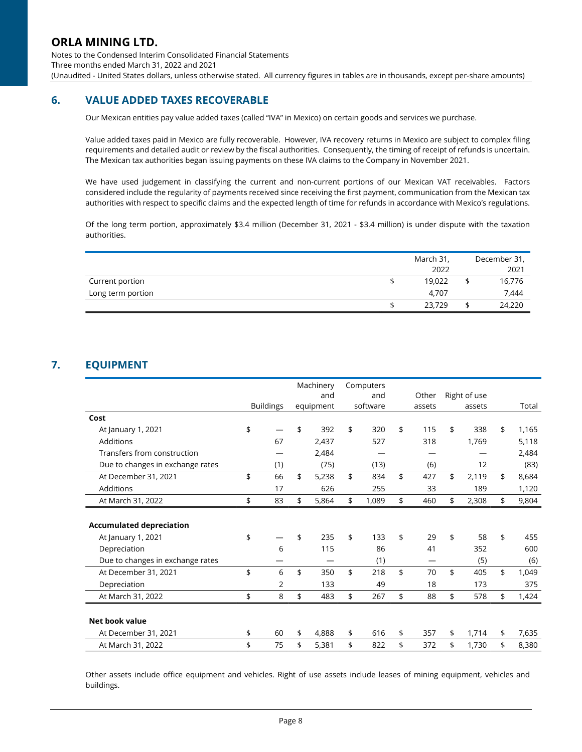Notes to the Condensed Interim Consolidated Financial Statements Three months ended March 31, 2022 and 2021 (Unaudited - United States dollars, unless otherwise stated. All currency figures in tables are in thousands, except per-share amounts)

## 6. VALUE ADDED TAXES RECOVERABLE

Our Mexican entities pay value added taxes (called "IVA" in Mexico) on certain goods and services we purchase.

Value added taxes paid in Mexico are fully recoverable. However, IVA recovery returns in Mexico are subject to complex filing requirements and detailed audit or review by the fiscal authorities. Consequently, the timing of receipt of refunds is uncertain. The Mexican tax authorities began issuing payments on these IVA claims to the Company in November 2021.

We have used judgement in classifying the current and non-current portions of our Mexican VAT receivables. Factors considered include the regularity of payments received since receiving the first payment, communication from the Mexican tax authorities with respect to specific claims and the expected length of time for refunds in accordance with Mexico's regulations.

Of the long term portion, approximately \$3.4 million (December 31, 2021 - \$3.4 million) is under dispute with the taxation authorities.

|                   | March 31, | December 31, |
|-------------------|-----------|--------------|
|                   | 2022      | 2021         |
| Current portion   | 19,022    | 16,776       |
| Long term portion | 4,707     | 7,444        |
|                   | 23,729    | 24,220       |

# 7. EQUIPMENT

|                                  | Machinery |                  | Computers   |             |           |              |             |
|----------------------------------|-----------|------------------|-------------|-------------|-----------|--------------|-------------|
|                                  |           |                  | and         | and         | Other     | Right of use |             |
|                                  |           | <b>Buildings</b> | equipment   | software    | assets    | assets       | Total       |
| Cost                             |           |                  |             |             |           |              |             |
| At January 1, 2021               | \$        |                  | \$<br>392   | \$<br>320   | \$<br>115 | \$<br>338    | \$<br>1,165 |
| Additions                        |           | 67               | 2,437       | 527         | 318       | 1,769        | 5,118       |
| Transfers from construction      |           |                  | 2,484       |             |           |              | 2,484       |
| Due to changes in exchange rates |           | (1)              | (75)        | (13)        | (6)       | 12           | (83)        |
| At December 31, 2021             | \$        | 66               | \$<br>5,238 | \$<br>834   | \$<br>427 | \$<br>2,119  | \$<br>8,684 |
| Additions                        |           | 17               | 626         | 255         | 33        | 189          | 1,120       |
| At March 31, 2022                | \$        | 83               | \$<br>5,864 | \$<br>1,089 | \$<br>460 | \$<br>2,308  | \$<br>9,804 |
|                                  |           |                  |             |             |           |              |             |
| <b>Accumulated depreciation</b>  |           |                  |             |             |           |              |             |
| At January 1, 2021               | \$        |                  | \$<br>235   | \$<br>133   | \$<br>29  | \$<br>58     | \$<br>455   |
| Depreciation                     |           | 6                | 115         | 86          | 41        | 352          | 600         |
| Due to changes in exchange rates |           |                  |             | (1)         |           | (5)          | (6)         |
| At December 31, 2021             | \$        | 6                | \$<br>350   | \$<br>218   | \$<br>70  | \$<br>405    | \$<br>1,049 |
| Depreciation                     |           | 2                | 133         | 49          | 18        | 173          | 375         |
| At March 31, 2022                | \$        | 8                | \$<br>483   | \$<br>267   | \$<br>88  | \$<br>578    | \$<br>1,424 |
|                                  |           |                  |             |             |           |              |             |
| Net book value                   |           |                  |             |             |           |              |             |
| At December 31, 2021             | \$        | 60               | \$<br>4,888 | \$<br>616   | \$<br>357 | \$<br>1,714  | \$<br>7,635 |
| At March 31, 2022                | \$        | 75               | \$<br>5,381 | \$<br>822   | \$<br>372 | \$<br>1,730  | \$<br>8,380 |

Other assets include office equipment and vehicles. Right of use assets include leases of mining equipment, vehicles and buildings.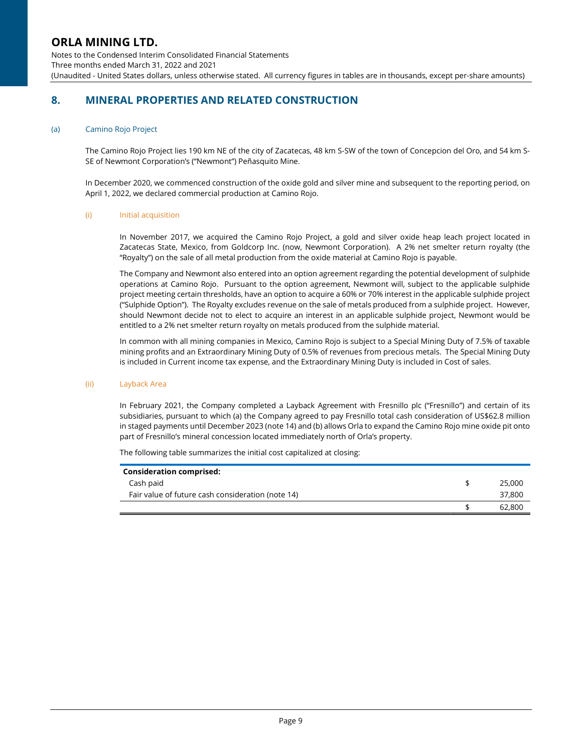Notes to the Condensed Interim Consolidated Financial Statements Three months ended March 31, 2022 and 2021 (Unaudited - United States dollars, unless otherwise stated. All currency figures in tables are in thousands, except per-share amounts)

## 8. MINERAL PROPERTIES AND RELATED CONSTRUCTION

### (a) Camino Rojo Project

The Camino Rojo Project lies 190 km NE of the city of Zacatecas, 48 km S-SW of the town of Concepcion del Oro, and 54 km S-SE of Newmont Corporation's ("Newmont") Peñasquito Mine.

In December 2020, we commenced construction of the oxide gold and silver mine and subsequent to the reporting period, on April 1, 2022, we declared commercial production at Camino Rojo.

### (i) Initial acquisition

In November 2017, we acquired the Camino Rojo Project, a gold and silver oxide heap leach project located in Zacatecas State, Mexico, from Goldcorp Inc. (now, Newmont Corporation). A 2% net smelter return royalty (the "Royalty") on the sale of all metal production from the oxide material at Camino Rojo is payable.

The Company and Newmont also entered into an option agreement regarding the potential development of sulphide operations at Camino Rojo. Pursuant to the option agreement, Newmont will, subject to the applicable sulphide project meeting certain thresholds, have an option to acquire a 60% or 70% interest in the applicable sulphide project ("Sulphide Option"). The Royalty excludes revenue on the sale of metals produced from a sulphide project. However, should Newmont decide not to elect to acquire an interest in an applicable sulphide project, Newmont would be entitled to a 2% net smelter return royalty on metals produced from the sulphide material.

In common with all mining companies in Mexico, Camino Rojo is subject to a Special Mining Duty of 7.5% of taxable mining profits and an Extraordinary Mining Duty of 0.5% of revenues from precious metals. The Special Mining Duty is included in Current income tax expense, and the Extraordinary Mining Duty is included in Cost of sales.

#### (ii) Layback Area

In February 2021, the Company completed a Layback Agreement with Fresnillo plc ("Fresnillo") and certain of its subsidiaries, pursuant to which (a) the Company agreed to pay Fresnillo total cash consideration of US\$62.8 million in staged payments until December 2023 (note 14) and (b) allows Orla to expand the Camino Rojo mine oxide pit onto part of Fresnillo's mineral concession located immediately north of Orla's property.

The following table summarizes the initial cost capitalized at closing:

| <b>Consideration comprised:</b>                   |        |
|---------------------------------------------------|--------|
| Cash paid                                         | 25,000 |
| Fair value of future cash consideration (note 14) | 37,800 |
|                                                   | 62,800 |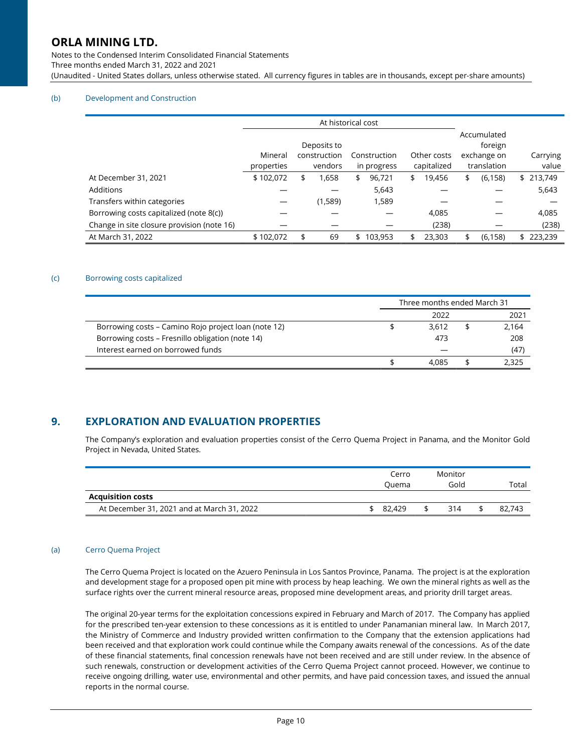Notes to the Condensed Interim Consolidated Financial Statements Three months ended March 31, 2022 and 2021 (Unaudited - United States dollars, unless otherwise stated. All currency figures in tables are in thousands, except per-share amounts)

### (b) Development and Construction

|                                            | At historical cost    |    |                                        |    |                             |    |                            |    |                                                      |                   |
|--------------------------------------------|-----------------------|----|----------------------------------------|----|-----------------------------|----|----------------------------|----|------------------------------------------------------|-------------------|
|                                            | Mineral<br>properties |    | Deposits to<br>construction<br>vendors |    | Construction<br>in progress |    | Other costs<br>capitalized |    | Accumulated<br>foreign<br>exchange on<br>translation | Carrying<br>value |
| At December 31, 2021                       | \$102,072             | \$ | 1,658                                  | \$ | 96,721                      | \$ | 19,456                     | \$ | (6, 158)                                             | \$213,749         |
| Additions                                  |                       |    |                                        |    | 5,643                       |    |                            |    |                                                      | 5,643             |
| Transfers within categories                |                       |    | (1,589)                                |    | 1,589                       |    |                            |    |                                                      |                   |
| Borrowing costs capitalized (note 8(c))    |                       |    |                                        |    |                             |    | 4,085                      |    |                                                      | 4,085             |
| Change in site closure provision (note 16) |                       |    |                                        |    |                             |    | (238)                      |    |                                                      | (238)             |
| At March 31, 2022                          | \$102,072             | \$ | 69                                     | \$ | 103,953                     |    | 23,303                     |    | (6, 158)                                             | 223,239           |

#### (c) Borrowing costs capitalized

|                                                      | Three months ended March 31 |  |       |  |  |  |
|------------------------------------------------------|-----------------------------|--|-------|--|--|--|
|                                                      | 2022                        |  | 2021  |  |  |  |
| Borrowing costs – Camino Rojo project Ioan (note 12) | 3.612                       |  | 2,164 |  |  |  |
| Borrowing costs – Fresnillo obligation (note 14)     | 473                         |  | 208   |  |  |  |
| Interest earned on borrowed funds                    |                             |  | (47)  |  |  |  |
|                                                      | 4.085                       |  | 2.325 |  |  |  |

### 9. EXPLORATION AND EVALUATION PROPERTIES

The Company's exploration and evaluation properties consist of the Cerro Quema Project in Panama, and the Monitor Gold Project in Nevada, United States.

|                                            | Cerro<br>Ouema | Monitor<br>Gold | Total  |
|--------------------------------------------|----------------|-----------------|--------|
| <b>Acquisition costs</b>                   |                |                 |        |
| At December 31, 2021 and at March 31, 2022 | 82.429         | 314             | 82,743 |

#### (a) Cerro Quema Project

The Cerro Quema Project is located on the Azuero Peninsula in Los Santos Province, Panama. The project is at the exploration and development stage for a proposed open pit mine with process by heap leaching. We own the mineral rights as well as the surface rights over the current mineral resource areas, proposed mine development areas, and priority drill target areas.

The original 20-year terms for the exploitation concessions expired in February and March of 2017. The Company has applied for the prescribed ten-year extension to these concessions as it is entitled to under Panamanian mineral law. In March 2017, the Ministry of Commerce and Industry provided written confirmation to the Company that the extension applications had been received and that exploration work could continue while the Company awaits renewal of the concessions. As of the date of these financial statements, final concession renewals have not been received and are still under review. In the absence of such renewals, construction or development activities of the Cerro Quema Project cannot proceed. However, we continue to receive ongoing drilling, water use, environmental and other permits, and have paid concession taxes, and issued the annual reports in the normal course.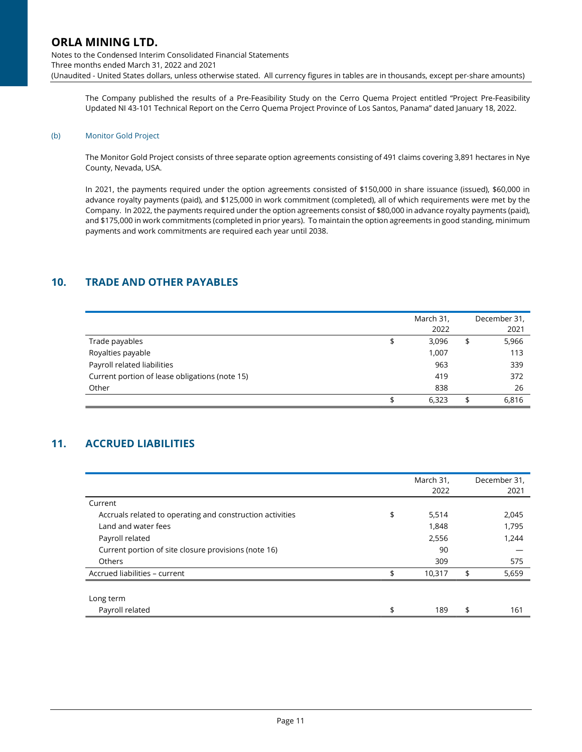Notes to the Condensed Interim Consolidated Financial Statements Three months ended March 31, 2022 and 2021 (Unaudited - United States dollars, unless otherwise stated. All currency figures in tables are in thousands, except per-share amounts)

The Company published the results of a Pre-Feasibility Study on the Cerro Quema Project entitled "Project Pre-Feasibility Updated NI 43-101 Technical Report on the Cerro Quema Project Province of Los Santos, Panama" dated January 18, 2022.

#### (b) Monitor Gold Project

The Monitor Gold Project consists of three separate option agreements consisting of 491 claims covering 3,891 hectares in Nye County, Nevada, USA.

In 2021, the payments required under the option agreements consisted of \$150,000 in share issuance (issued), \$60,000 in advance royalty payments (paid), and \$125,000 in work commitment (completed), all of which requirements were met by the Company. In 2022, the payments required under the option agreements consist of \$80,000 in advance royalty payments (paid), and \$175,000 in work commitments (completed in prior years). To maintain the option agreements in good standing, minimum payments and work commitments are required each year until 2038.

## 10. TRADE AND OTHER PAYABLES

|                                                | March 31,<br>2022 | December 31,<br>2021 |
|------------------------------------------------|-------------------|----------------------|
| Trade payables                                 | \$<br>3,096       | \$<br>5,966          |
| Royalties payable                              | 1,007             | 113                  |
| Payroll related liabilities                    | 963               | 339                  |
| Current portion of lease obligations (note 15) | 419               | 372                  |
| Other                                          | 838               | 26                   |
|                                                | 6,323             | 6,816                |

## 11. ACCRUED LIABILITIES

|                                                           | March 31,<br>2022 | December 31,<br>2021 |
|-----------------------------------------------------------|-------------------|----------------------|
| Current                                                   |                   |                      |
| Accruals related to operating and construction activities | \$<br>5,514       | 2,045                |
| Land and water fees                                       | 1,848             | 1,795                |
| Payroll related                                           | 2,556             | 1,244                |
| Current portion of site closure provisions (note 16)      | 90                |                      |
| Others                                                    | 309               | 575                  |
| Accrued liabilities - current                             | \$<br>10,317      | \$<br>5,659          |
|                                                           |                   |                      |
| Long term                                                 |                   |                      |
| Payroll related                                           | \$<br>189         | \$<br>161            |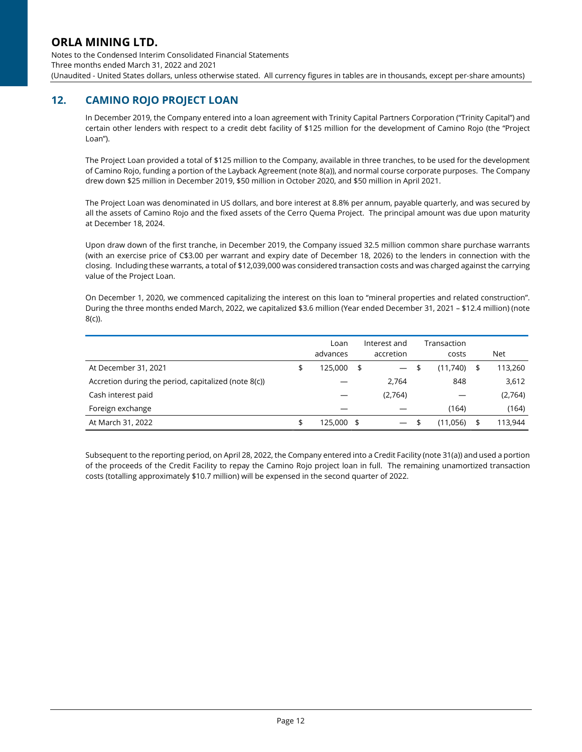Notes to the Condensed Interim Consolidated Financial Statements Three months ended March 31, 2022 and 2021 (Unaudited - United States dollars, unless otherwise stated. All currency figures in tables are in thousands, except per-share amounts)

## 12. CAMINO ROJO PROJECT LOAN

In December 2019, the Company entered into a loan agreement with Trinity Capital Partners Corporation ("Trinity Capital") and certain other lenders with respect to a credit debt facility of \$125 million for the development of Camino Rojo (the "Project Loan").

The Project Loan provided a total of \$125 million to the Company, available in three tranches, to be used for the development of Camino Rojo, funding a portion of the Layback Agreement (note 8(a)), and normal course corporate purposes. The Company drew down \$25 million in December 2019, \$50 million in October 2020, and \$50 million in April 2021.

The Project Loan was denominated in US dollars, and bore interest at 8.8% per annum, payable quarterly, and was secured by all the assets of Camino Rojo and the fixed assets of the Cerro Quema Project. The principal amount was due upon maturity at December 18, 2024.

Upon draw down of the first tranche, in December 2019, the Company issued 32.5 million common share purchase warrants (with an exercise price of C\$3.00 per warrant and expiry date of December 18, 2026) to the lenders in connection with the closing. Including these warrants, a total of \$12,039,000 was considered transaction costs and was charged against the carrying value of the Project Loan.

On December 1, 2020, we commenced capitalizing the interest on this loan to "mineral properties and related construction". During the three months ended March, 2022, we capitalized \$3.6 million (Year ended December 31, 2021 – \$12.4 million) (note 8(c)).

|                                                      | Loan<br>advances |      | Interest and<br>accretion | Transaction<br>costs | Net           |
|------------------------------------------------------|------------------|------|---------------------------|----------------------|---------------|
| At December 31, 2021                                 | \$<br>125,000    | - \$ | $\qquad \qquad -$         | \$<br>(11,740)       | \$<br>113,260 |
| Accretion during the period, capitalized (note 8(c)) |                  |      | 2,764                     | 848                  | 3,612         |
| Cash interest paid                                   |                  |      | (2,764)                   |                      | (2,764)       |
| Foreign exchange                                     |                  |      |                           | (164)                | (164)         |
| At March 31, 2022                                    | \$<br>125,000 \$ |      | $\overline{\phantom{0}}$  | (11,056)             | \$<br>113,944 |

Subsequent to the reporting period, on April 28, 2022, the Company entered into a Credit Facility (note 31(a)) and used a portion of the proceeds of the Credit Facility to repay the Camino Rojo project loan in full. The remaining unamortized transaction costs (totalling approximately \$10.7 million) will be expensed in the second quarter of 2022.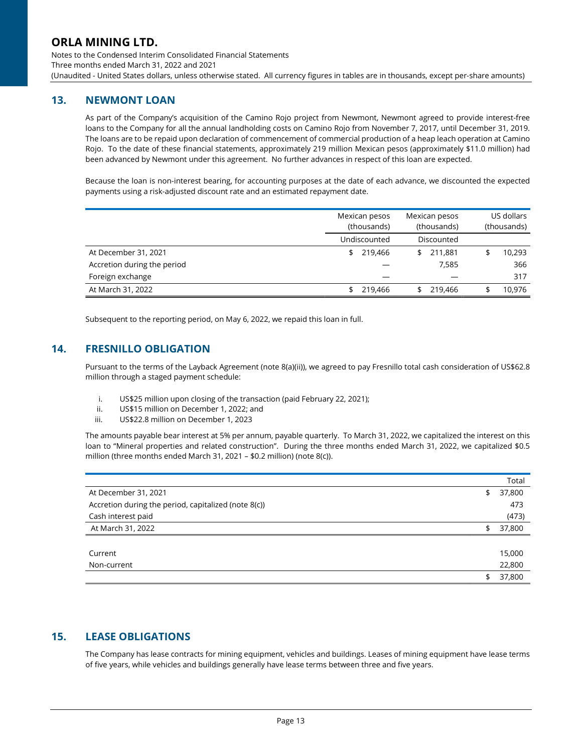Notes to the Condensed Interim Consolidated Financial Statements Three months ended March 31, 2022 and 2021 (Unaudited - United States dollars, unless otherwise stated. All currency figures in tables are in thousands, except per-share amounts)

## 13. NEWMONT LOAN

As part of the Company's acquisition of the Camino Rojo project from Newmont, Newmont agreed to provide interest-free loans to the Company for all the annual landholding costs on Camino Rojo from November 7, 2017, until December 31, 2019. The loans are to be repaid upon declaration of commencement of commercial production of a heap leach operation at Camino Rojo. To the date of these financial statements, approximately 219 million Mexican pesos (approximately \$11.0 million) had been advanced by Newmont under this agreement. No further advances in respect of this loan are expected.

Because the loan is non-interest bearing, for accounting purposes at the date of each advance, we discounted the expected payments using a risk-adjusted discount rate and an estimated repayment date.

|                             | Mexican pesos<br>(thousands) | Mexican pesos<br>(thousands) | US dollars<br>(thousands) |
|-----------------------------|------------------------------|------------------------------|---------------------------|
|                             | Undiscounted                 | Discounted                   |                           |
| At December 31, 2021        | 219,466                      | 211.881<br>\$                | 10,293                    |
| Accretion during the period |                              | 7,585                        | 366                       |
| Foreign exchange            |                              |                              | 317                       |
| At March 31, 2022           | 219,466                      | 219,466                      | 10.976                    |

Subsequent to the reporting period, on May 6, 2022, we repaid this loan in full.

## 14. FRESNILLO OBLIGATION

Pursuant to the terms of the Layback Agreement (note 8(a)(ii)), we agreed to pay Fresnillo total cash consideration of US\$62.8 million through a staged payment schedule:

- i. US\$25 million upon closing of the transaction (paid February 22, 2021);
- ii. US\$15 million on December 1, 2022; and
- iii. US\$22.8 million on December 1, 2023

The amounts payable bear interest at 5% per annum, payable quarterly. To March 31, 2022, we capitalized the interest on this loan to "Mineral properties and related construction". During the three months ended March 31, 2022, we capitalized \$0.5 million (three months ended March 31, 2021 – \$0.2 million) (note 8(c)).

|                                                      | Total        |
|------------------------------------------------------|--------------|
| At December 31, 2021                                 | \$<br>37,800 |
| Accretion during the period, capitalized (note 8(c)) | 473          |
| Cash interest paid                                   | (473)        |
| At March 31, 2022                                    | \$<br>37,800 |
|                                                      |              |
| Current                                              | 15,000       |
| Non-current                                          | 22,800       |
|                                                      | \$<br>37,800 |

## 15. LEASE OBLIGATIONS

The Company has lease contracts for mining equipment, vehicles and buildings. Leases of mining equipment have lease terms of five years, while vehicles and buildings generally have lease terms between three and five years.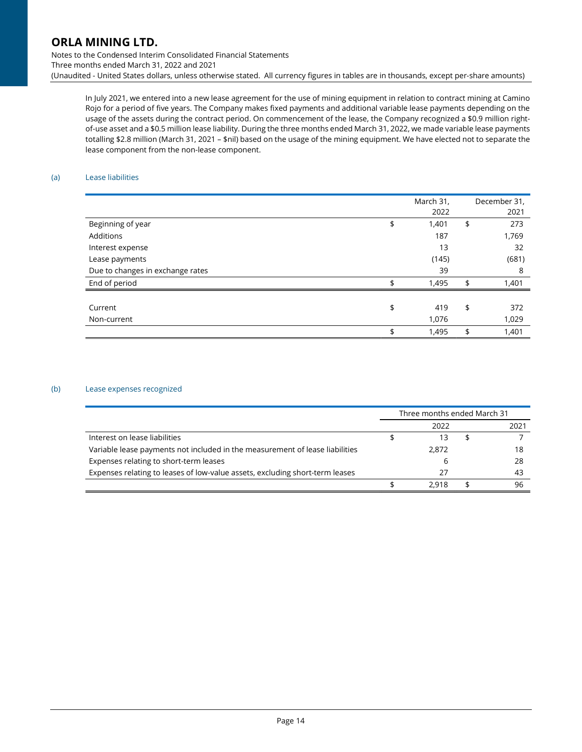Notes to the Condensed Interim Consolidated Financial Statements Three months ended March 31, 2022 and 2021 (Unaudited - United States dollars, unless otherwise stated. All currency figures in tables are in thousands, except per-share amounts)

In July 2021, we entered into a new lease agreement for the use of mining equipment in relation to contract mining at Camino Rojo for a period of five years. The Company makes fixed payments and additional variable lease payments depending on the usage of the assets during the contract period. On commencement of the lease, the Company recognized a \$0.9 million rightof-use asset and a \$0.5 million lease liability. During the three months ended March 31, 2022, we made variable lease payments totalling \$2.8 million (March 31, 2021 – \$nil) based on the usage of the mining equipment. We have elected not to separate the lease component from the non-lease component.

### (a) Lease liabilities

|                                  | March 31,<br>2022 | December 31,<br>2021 |
|----------------------------------|-------------------|----------------------|
| Beginning of year                | \$<br>1,401       | \$<br>273            |
| Additions                        | 187               | 1,769                |
| Interest expense                 | 13                | 32                   |
| Lease payments                   | (145)             | (681)                |
| Due to changes in exchange rates | 39                | 8                    |
| End of period                    | \$<br>1,495       | \$<br>1,401          |
|                                  |                   |                      |
| Current                          | \$<br>419         | \$<br>372            |
| Non-current                      | 1,076             | 1,029                |
|                                  | \$<br>1,495       | \$<br>1,401          |

#### (b) Lease expenses recognized

|                                                                              | Three months ended March 31 |      |
|------------------------------------------------------------------------------|-----------------------------|------|
|                                                                              | 2022                        | 2021 |
| Interest on lease liabilities                                                |                             |      |
| Variable lease payments not included in the measurement of lease liabilities | 2.872                       | 18   |
| Expenses relating to short-term leases                                       | b                           | 28   |
| Expenses relating to leases of low-value assets, excluding short-term leases | 27                          | 43   |
|                                                                              | 2.918                       | 96   |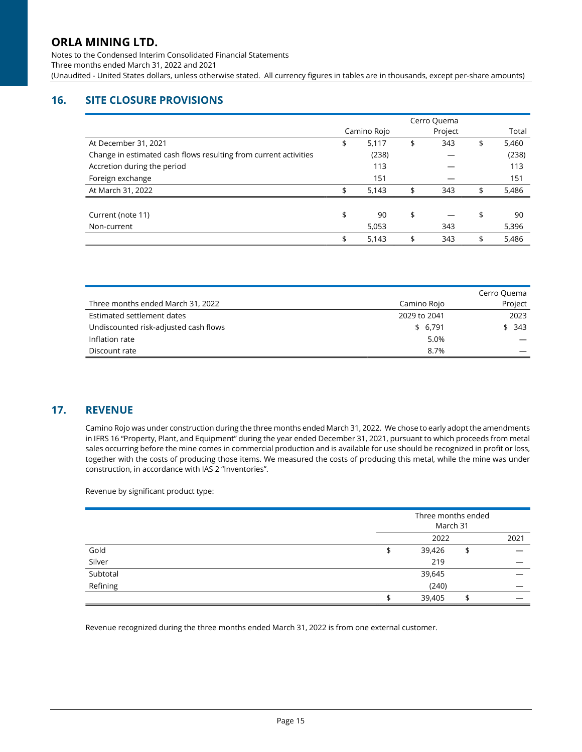Notes to the Condensed Interim Consolidated Financial Statements Three months ended March 31, 2022 and 2021 (Unaudited - United States dollars, unless otherwise stated. All currency figures in tables are in thousands, except per-share amounts)

# 16. SITE CLOSURE PROVISIONS

|                                                                  | Cerro Quema |             |    |         |             |
|------------------------------------------------------------------|-------------|-------------|----|---------|-------------|
|                                                                  |             | Camino Rojo |    | Project | Total       |
| At December 31, 2021                                             | \$          | 5,117       | \$ | 343     | \$<br>5,460 |
| Change in estimated cash flows resulting from current activities |             | (238)       |    |         | (238)       |
| Accretion during the period                                      |             | 113         |    |         | 113         |
| Foreign exchange                                                 |             | 151         |    |         | 151         |
| At March 31, 2022                                                | ፍ           | 5,143       | \$ | 343     | \$<br>5,486 |
|                                                                  |             |             |    |         |             |
| Current (note 11)                                                | \$          | 90          | \$ |         | \$<br>90    |
| Non-current                                                      |             | 5,053       |    | 343     | 5,396       |
|                                                                  | \$          | 5,143       | \$ | 343     | \$<br>5,486 |

|                                       |              | Cerro Quema |
|---------------------------------------|--------------|-------------|
| Three months ended March 31, 2022     | Camino Rojo  | Project     |
| Estimated settlement dates            | 2029 to 2041 | 2023        |
| Undiscounted risk-adjusted cash flows | \$ 6,791     | \$343       |
| Inflation rate                        | 5.0%         |             |
| Discount rate                         | 8.7%         |             |

### 17. REVENUE

Camino Rojo was under construction during the three months ended March 31, 2022. We chose to early adopt the amendments in IFRS 16 "Property, Plant, and Equipment" during the year ended December 31, 2021, pursuant to which proceeds from metal sales occurring before the mine comes in commercial production and is available for use should be recognized in profit or loss, together with the costs of producing those items. We measured the costs of producing this metal, while the mine was under construction, in accordance with IAS 2 "Inventories".

Revenue by significant product type:

|          |   | Three months ended<br>March 31 |      |  |
|----------|---|--------------------------------|------|--|
|          |   | 2022                           | 2021 |  |
| Gold     | đ | 39,426                         | \$   |  |
| Silver   |   | 219                            |      |  |
| Subtotal |   | 39,645                         |      |  |
| Refining |   | (240)                          |      |  |
|          |   | 39,405                         | ℶ    |  |

Revenue recognized during the three months ended March 31, 2022 is from one external customer.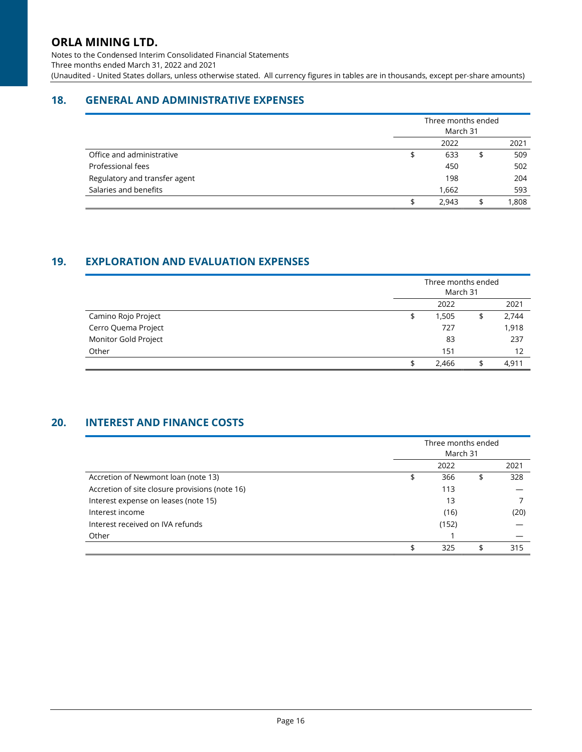Notes to the Condensed Interim Consolidated Financial Statements Three months ended March 31, 2022 and 2021 (Unaudited - United States dollars, unless otherwise stated. All currency figures in tables are in thousands, except per-share amounts)

# 18. GENERAL AND ADMINISTRATIVE EXPENSES

|                               | Three months ended<br>March 31 |             |
|-------------------------------|--------------------------------|-------------|
|                               | 2022                           | 2021        |
| Office and administrative     | 633                            | \$<br>509   |
| Professional fees             | 450                            | 502         |
| Regulatory and transfer agent | 198                            | 204         |
| Salaries and benefits         | 1,662                          | 593         |
|                               | 2,943                          | \$<br>1,808 |

## 19. EXPLORATION AND EVALUATION EXPENSES

|                      | Three months ended<br>March 31 |             |
|----------------------|--------------------------------|-------------|
|                      | 2022                           | 2021        |
| Camino Rojo Project  | 1,505                          | \$<br>2,744 |
| Cerro Quema Project  | 727                            | 1,918       |
| Monitor Gold Project | 83                             | 237         |
| Other                | 151                            | 12          |
|                      | 2,466                          | 4.911       |

# 20. INTEREST AND FINANCE COSTS

|                                                | Three months ended<br>March 31 |    |      |
|------------------------------------------------|--------------------------------|----|------|
|                                                | 2022                           |    | 2021 |
| Accretion of Newmont loan (note 13)            | 366                            | \$ | 328  |
| Accretion of site closure provisions (note 16) | 113                            |    |      |
| Interest expense on leases (note 15)           | 13                             |    |      |
| Interest income                                | (16)                           |    | (20) |
| Interest received on IVA refunds               | (152)                          |    |      |
| Other                                          |                                |    |      |
|                                                | 325                            |    | 315  |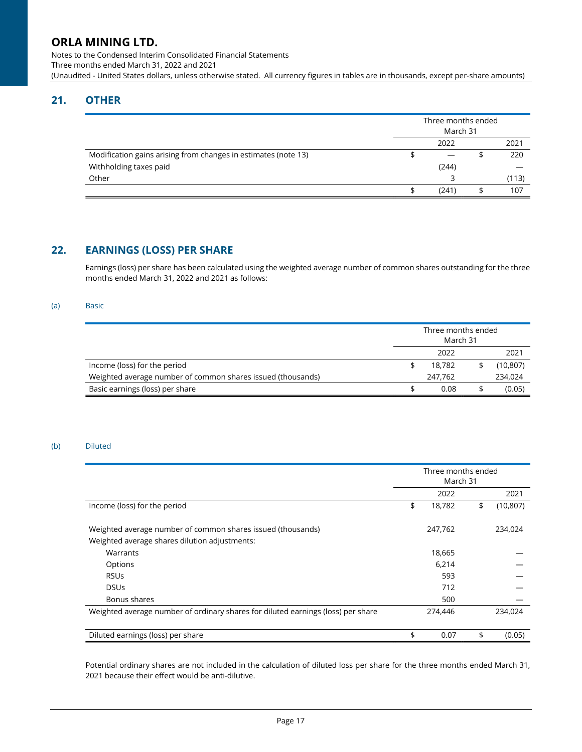Notes to the Condensed Interim Consolidated Financial Statements Three months ended March 31, 2022 and 2021 (Unaudited - United States dollars, unless otherwise stated. All currency figures in tables are in thousands, except per-share amounts)

# 21. OTHER

|                                                                |      | Three months ended<br>March 31 |  |       |
|----------------------------------------------------------------|------|--------------------------------|--|-------|
|                                                                | 2022 |                                |  | 2021  |
| Modification gains arising from changes in estimates (note 13) |      |                                |  | 220   |
| Withholding taxes paid                                         |      | (244)                          |  |       |
| Other                                                          |      |                                |  | (113) |
|                                                                |      | (241)                          |  | 107   |

### 22. EARNINGS (LOSS) PER SHARE

Earnings (loss) per share has been calculated using the weighted average number of common shares outstanding for the three months ended March 31, 2022 and 2021 as follows:

### (a) Basic

|                                                             |      | Three months ended<br>March 31 |  |           |
|-------------------------------------------------------------|------|--------------------------------|--|-----------|
|                                                             | 2022 |                                |  | 2021      |
| Income (loss) for the period                                |      | 18.782                         |  | (10, 807) |
| Weighted average number of common shares issued (thousands) |      | 247.762                        |  | 234,024   |
| Basic earnings (loss) per share                             | 0.08 |                                |  | (0.05)    |

### (b) Diluted

|                                                                                                              | Three months ended<br>March 31 |         |    |           |
|--------------------------------------------------------------------------------------------------------------|--------------------------------|---------|----|-----------|
|                                                                                                              |                                | 2022    |    | 2021      |
| Income (loss) for the period                                                                                 | \$                             | 18,782  | \$ | (10, 807) |
| Weighted average number of common shares issued (thousands)<br>Weighted average shares dilution adjustments: |                                | 247,762 |    | 234,024   |
| Warrants                                                                                                     |                                | 18,665  |    |           |
| Options                                                                                                      |                                | 6,214   |    |           |
| <b>RSUs</b>                                                                                                  |                                | 593     |    |           |
| <b>DSUs</b>                                                                                                  |                                | 712     |    |           |
| Bonus shares                                                                                                 |                                | 500     |    |           |
| Weighted average number of ordinary shares for diluted earnings (loss) per share                             |                                | 274,446 |    | 234.024   |
| Diluted earnings (loss) per share                                                                            | \$                             | 0.07    | \$ | (0.05)    |

Potential ordinary shares are not included in the calculation of diluted loss per share for the three months ended March 31, 2021 because their effect would be anti-dilutive.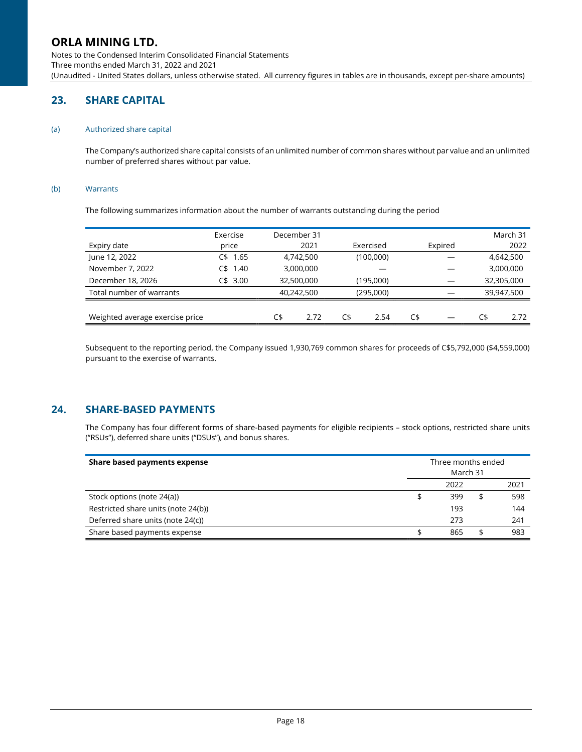Notes to the Condensed Interim Consolidated Financial Statements Three months ended March 31, 2022 and 2021 (Unaudited - United States dollars, unless otherwise stated. All currency figures in tables are in thousands, except per-share amounts)

# 23. SHARE CAPITAL

#### (a) Authorized share capital

The Company's authorized share capital consists of an unlimited number of common shares without par value and an unlimited number of preferred shares without par value.

### (b) Warrants

The following summarizes information about the number of warrants outstanding during the period

|                                 | Exercise     | December 31 |      |           |      |     |         |     | March 31   |
|---------------------------------|--------------|-------------|------|-----------|------|-----|---------|-----|------------|
| Expiry date                     | price        | 2021        |      | Exercised |      |     | Expired |     | 2022       |
| June 12, 2022                   | 1.65<br>C\$. | 4.742.500   |      | (100,000) |      |     |         |     | 4,642,500  |
| November 7, 2022                | 1.40<br>′\$  | 3,000,000   |      |           |      |     |         |     | 3,000,000  |
| December 18, 2026               | 3.00<br>C\$. | 32,500,000  |      | (195,000) |      |     |         |     | 32,305,000 |
| Total number of warrants        |              | 40.242.500  |      | (295,000) |      |     |         |     | 39,947,500 |
|                                 |              |             |      |           |      |     |         |     |            |
| Weighted average exercise price |              | C\$         | 2.72 | C\$       | 2.54 | C\$ |         | C\$ | 2.72       |

Subsequent to the reporting period, the Company issued 1,930,769 common shares for proceeds of C\$5,792,000 (\$4,559,000) pursuant to the exercise of warrants.

## 24. SHARE-BASED PAYMENTS

The Company has four different forms of share-based payments for eligible recipients – stock options, restricted share units ("RSUs"), deferred share units ("DSUs"), and bonus shares.

| Share based payments expense        | Three months ended<br>March 31 |      |    |      |
|-------------------------------------|--------------------------------|------|----|------|
|                                     |                                | 2022 |    | 2021 |
| Stock options (note 24(a))          | \$                             | 399  | \$ | 598  |
| Restricted share units (note 24(b)) |                                | 193  |    | 144  |
| Deferred share units (note 24(c))   |                                | 273  |    | 241  |
| Share based payments expense        |                                | 865  |    | 983  |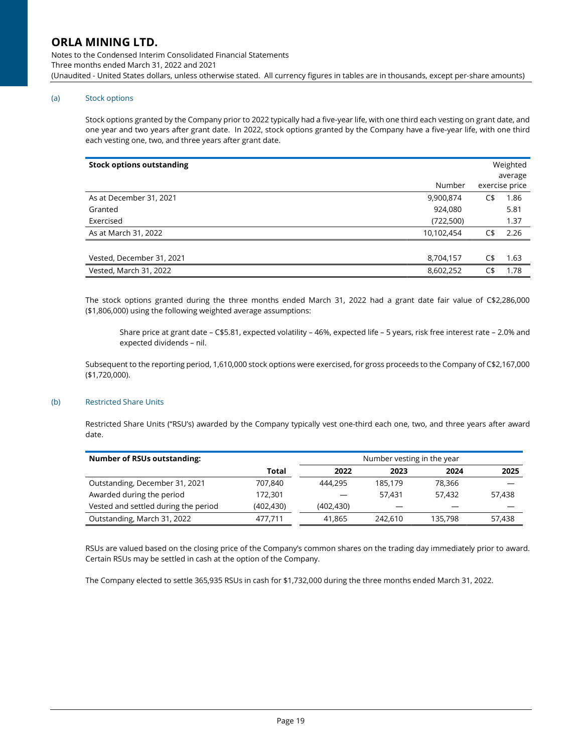Notes to the Condensed Interim Consolidated Financial Statements Three months ended March 31, 2022 and 2021 (Unaudited - United States dollars, unless otherwise stated. All currency figures in tables are in thousands, except per-share amounts)

### (a) Stock options

Stock options granted by the Company prior to 2022 typically had a five-year life, with one third each vesting on grant date, and one year and two years after grant date. In 2022, stock options granted by the Company have a five-year life, with one third each vesting one, two, and three years after grant date.

|            |     | Weighted<br>average |
|------------|-----|---------------------|
| Number     |     | exercise price      |
| 9,900,874  | C\$ | 1.86                |
| 924,080    |     | 5.81                |
| (722, 500) |     | 1.37                |
| 10,102,454 | C\$ | 2.26                |
|            |     |                     |
| 8,704,157  | C\$ | 1.63                |
| 8,602,252  | C\$ | 1.78                |
|            |     |                     |

The stock options granted during the three months ended March 31, 2022 had a grant date fair value of C\$2,286,000 (\$1,806,000) using the following weighted average assumptions:

Share price at grant date – C\$5.81, expected volatility – 46%, expected life – 5 years, risk free interest rate – 2.0% and expected dividends – nil.

Subsequent to the reporting period, 1,610,000 stock options were exercised, for gross proceeds to the Company of C\$2,167,000 (\$1,720,000).

### (b) Restricted Share Units

Restricted Share Units ("RSU's) awarded by the Company typically vest one-third each one, two, and three years after award date.

| <b>Number of RSUs outstanding:</b>   |            | Number vesting in the year |         |         |        |  |
|--------------------------------------|------------|----------------------------|---------|---------|--------|--|
|                                      | Total      | 2022                       | 2023    | 2024    | 2025   |  |
| Outstanding, December 31, 2021       | 707.840    | 444.295                    | 185.179 | 78.366  |        |  |
| Awarded during the period            | 172,301    |                            | 57.431  | 57.432  | 57,438 |  |
| Vested and settled during the period | (402, 430) | (402, 430)                 |         |         |        |  |
| Outstanding, March 31, 2022          | 477.711    | 41,865                     | 242,610 | 135.798 | 57,438 |  |

RSUs are valued based on the closing price of the Company's common shares on the trading day immediately prior to award. Certain RSUs may be settled in cash at the option of the Company.

The Company elected to settle 365,935 RSUs in cash for \$1,732,000 during the three months ended March 31, 2022.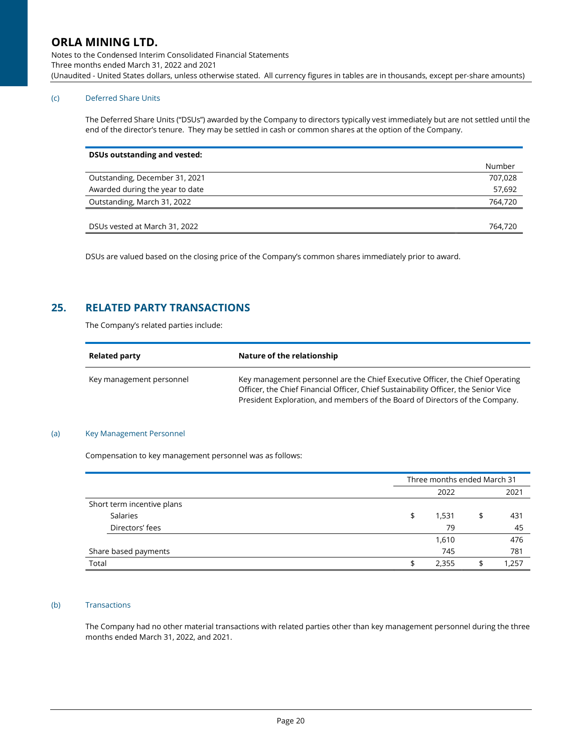Notes to the Condensed Interim Consolidated Financial Statements Three months ended March 31, 2022 and 2021 (Unaudited - United States dollars, unless otherwise stated. All currency figures in tables are in thousands, except per-share amounts)

### (c) Deferred Share Units

The Deferred Share Units ("DSUs") awarded by the Company to directors typically vest immediately but are not settled until the end of the director's tenure. They may be settled in cash or common shares at the option of the Company.

| <b>DSUs outstanding and vested:</b> |         |
|-------------------------------------|---------|
|                                     | Number  |
| Outstanding, December 31, 2021      | 707.028 |
| Awarded during the year to date     | 57,692  |
| Outstanding, March 31, 2022         | 764,720 |
|                                     |         |
| DSUs vested at March 31, 2022       | 764,720 |

DSUs are valued based on the closing price of the Company's common shares immediately prior to award.

## 25. RELATED PARTY TRANSACTIONS

The Company's related parties include:

| <b>Related party</b>     | Nature of the relationship                                                                                                                                                                                                                           |
|--------------------------|------------------------------------------------------------------------------------------------------------------------------------------------------------------------------------------------------------------------------------------------------|
| Key management personnel | Key management personnel are the Chief Executive Officer, the Chief Operating<br>Officer, the Chief Financial Officer, Chief Sustainability Officer, the Senior Vice<br>President Exploration, and members of the Board of Directors of the Company. |

#### (a) Key Management Personnel

Compensation to key management personnel was as follows:

|                            | Three months ended March 31 |       |    |       |
|----------------------------|-----------------------------|-------|----|-------|
|                            |                             | 2022  |    | 2021  |
| Short term incentive plans |                             |       |    |       |
| Salaries                   | \$                          | 1,531 | \$ | 431   |
| Directors' fees            |                             | 79    |    | 45    |
|                            |                             | 1,610 |    | 476   |
| Share based payments       |                             | 745   |    | 781   |
| Total                      |                             | 2,355 | S  | 1,257 |

### (b) Transactions

The Company had no other material transactions with related parties other than key management personnel during the three months ended March 31, 2022, and 2021.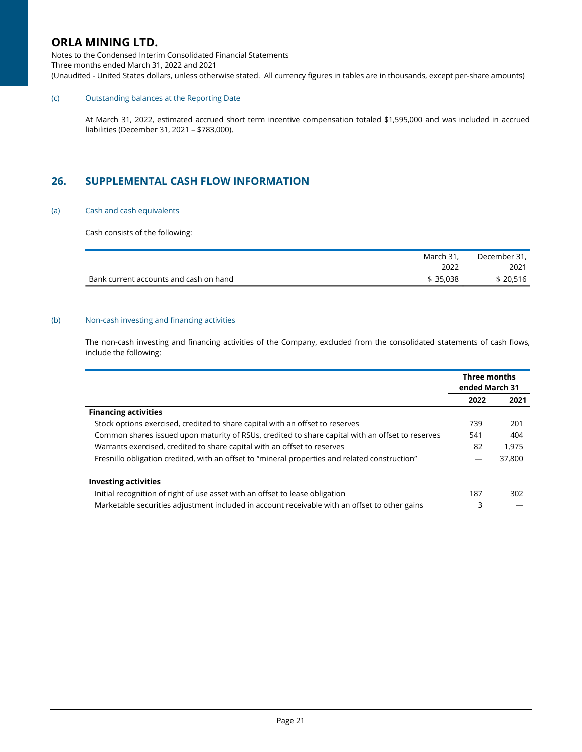Notes to the Condensed Interim Consolidated Financial Statements Three months ended March 31, 2022 and 2021 (Unaudited - United States dollars, unless otherwise stated. All currency figures in tables are in thousands, except per-share amounts)

### (c) Outstanding balances at the Reporting Date

At March 31, 2022, estimated accrued short term incentive compensation totaled \$1,595,000 and was included in accrued liabilities (December 31, 2021 – \$783,000).

## 26. SUPPLEMENTAL CASH FLOW INFORMATION

#### (a) Cash and cash equivalents

Cash consists of the following:

| March 31,                                          | December 31, |
|----------------------------------------------------|--------------|
| 2022                                               | 2021         |
| Bank current accounts and cash on hand<br>\$35.038 | \$20.516     |

### (b) Non-cash investing and financing activities

The non-cash investing and financing activities of the Company, excluded from the consolidated statements of cash flows, include the following:

|                                                                                                  | Three months<br>ended March 31 |        |
|--------------------------------------------------------------------------------------------------|--------------------------------|--------|
|                                                                                                  | 2022                           | 2021   |
| <b>Financing activities</b>                                                                      |                                |        |
| Stock options exercised, credited to share capital with an offset to reserves                    | 739                            | 201    |
| Common shares issued upon maturity of RSUs, credited to share capital with an offset to reserves | 541                            | 404    |
| Warrants exercised, credited to share capital with an offset to reserves                         | 82                             | 1.975  |
| Fresnillo obligation credited, with an offset to "mineral properties and related construction"   |                                | 37,800 |
| <b>Investing activities</b>                                                                      |                                |        |
| Initial recognition of right of use asset with an offset to lease obligation                     | 187                            | 302    |
| Marketable securities adjustment included in account receivable with an offset to other gains    | 3                              |        |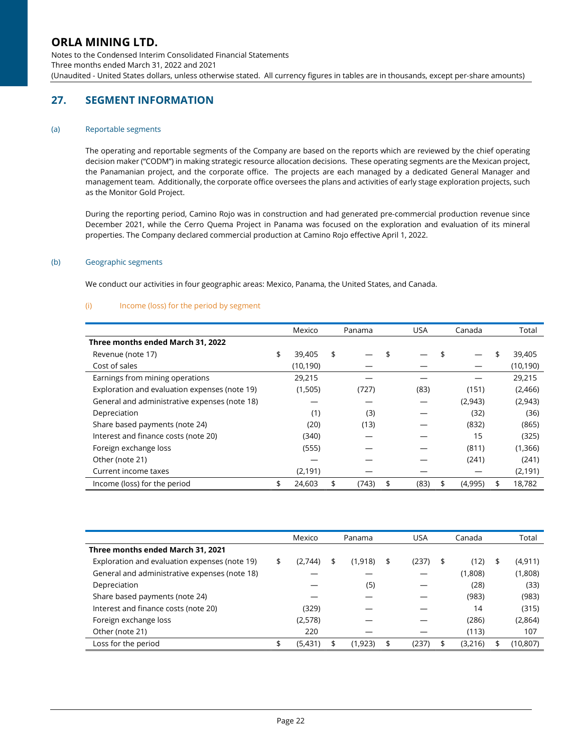Notes to the Condensed Interim Consolidated Financial Statements Three months ended March 31, 2022 and 2021 (Unaudited - United States dollars, unless otherwise stated. All currency figures in tables are in thousands, except per-share amounts)

# 27. SEGMENT INFORMATION

### (a) Reportable segments

The operating and reportable segments of the Company are based on the reports which are reviewed by the chief operating decision maker ("CODM") in making strategic resource allocation decisions. These operating segments are the Mexican project, the Panamanian project, and the corporate office. The projects are each managed by a dedicated General Manager and management team. Additionally, the corporate office oversees the plans and activities of early stage exploration projects, such as the Monitor Gold Project.

During the reporting period, Camino Rojo was in construction and had generated pre-commercial production revenue since December 2021, while the Cerro Quema Project in Panama was focused on the exploration and evaluation of its mineral properties. The Company declared commercial production at Camino Rojo effective April 1, 2022.

### (b) Geographic segments

We conduct our activities in four geographic areas: Mexico, Panama, the United States, and Canada.

### (i) Income (loss) for the period by segment

|                                               | Mexico       | Panama      | <b>USA</b> | Canada |         |    | Total     |
|-----------------------------------------------|--------------|-------------|------------|--------|---------|----|-----------|
| Three months ended March 31, 2022             |              |             |            |        |         |    |           |
| Revenue (note 17)                             | \$<br>39,405 | \$          |            |        |         | \$ | 39,405    |
| Cost of sales                                 | (10, 190)    |             |            |        |         |    | (10, 190) |
| Earnings from mining operations               | 29,215       |             |            |        |         |    | 29,215    |
| Exploration and evaluation expenses (note 19) | (1,505)      | (727)       | (83)       |        | (151)   |    | (2,466)   |
| General and administrative expenses (note 18) |              |             |            |        | (2,943) |    | (2,943)   |
| Depreciation                                  | (1)          | (3)         |            |        | (32)    |    | (36)      |
| Share based payments (note 24)                | (20)         | (13)        |            |        | (832)   |    | (865)     |
| Interest and finance costs (note 20)          | (340)        |             |            |        | 15      |    | (325)     |
| Foreign exchange loss                         | (555)        |             |            |        | (811)   |    | (1,366)   |
| Other (note 21)                               |              |             |            |        | (241)   |    | (241)     |
| Current income taxes                          | (2, 191)     |             |            |        |         |    | (2, 191)  |
| Income (loss) for the period                  | \$<br>24,603 | \$<br>(743) | \$<br>(83) | \$     | (4,995) |    | 18,782    |

|                                               | Mexico        | Panama |         |    |       | Canada        | Total |          |
|-----------------------------------------------|---------------|--------|---------|----|-------|---------------|-------|----------|
| Three months ended March 31, 2021             |               |        |         |    |       |               |       |          |
| Exploration and evaluation expenses (note 19) | \$<br>(2,744) | \$     | (1,918) | \$ | (237) | \$<br>(12)    | S     | (4, 911) |
| General and administrative expenses (note 18) |               |        |         |    |       | (1,808)       |       | (1,808)  |
| Depreciation                                  |               |        | (5)     |    |       | (28)          |       | (33)     |
| Share based payments (note 24)                |               |        |         |    |       | (983)         |       | (983)    |
| Interest and finance costs (note 20)          | (329)         |        |         |    |       | 14            |       | (315)    |
| Foreign exchange loss                         | (2,578)       |        |         |    |       | (286)         |       | (2,864)  |
| Other (note 21)                               | 220           |        |         |    |       | (113)         |       | 107      |
| Loss for the period                           | \$<br>(5,431) | \$     | (1,923) | \$ | (237) | \$<br>(3,216) |       | (10,807) |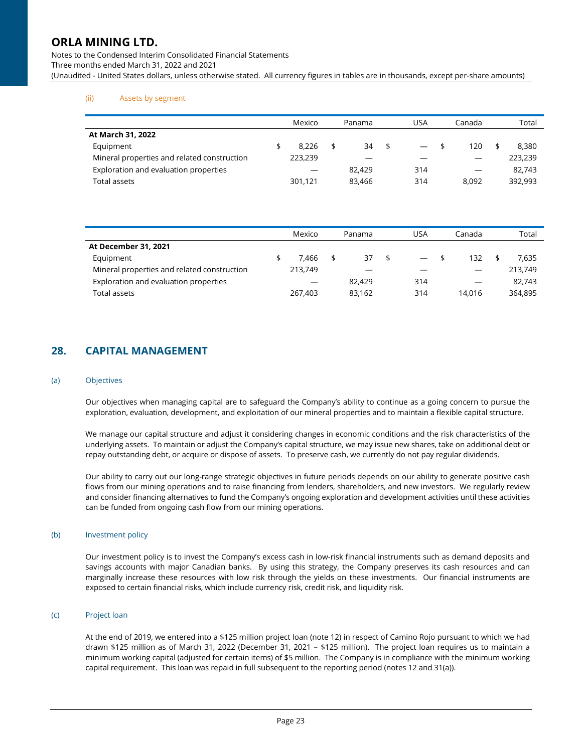Notes to the Condensed Interim Consolidated Financial Statements Three months ended March 31, 2022 and 2021 (Unaudited - United States dollars, unless otherwise stated. All currency figures in tables are in thousands, except per-share amounts)

### (ii) Assets by segment

|                                             | Mexico |         |  | Panama | USA                            | Canada | Total |         |  |
|---------------------------------------------|--------|---------|--|--------|--------------------------------|--------|-------|---------|--|
| At March 31, 2022                           |        |         |  |        |                                |        |       |         |  |
| Equipment                                   |        | 8.226   |  | 34     | \$<br>$\overline{\phantom{0}}$ | 120    |       | 8.380   |  |
| Mineral properties and related construction |        | 223.239 |  |        |                                |        |       | 223,239 |  |
| Exploration and evaluation properties       |        |         |  | 82,429 | 314                            |        |       | 82,743  |  |
| Total assets                                |        | 301,121 |  | 83.466 | 314                            | 8.092  |       | 392,993 |  |

|                                             | Mexico |                          |  | Panama | USA                      | Canada | Total   |
|---------------------------------------------|--------|--------------------------|--|--------|--------------------------|--------|---------|
| At December 31, 2021                        |        |                          |  |        |                          |        |         |
| Equipment                                   |        | 7.466                    |  | 37     | $\overline{\phantom{0}}$ | 132    | 7.635   |
| Mineral properties and related construction |        | 213.749                  |  |        |                          |        | 213.749 |
| Exploration and evaluation properties       |        | $\overline{\phantom{m}}$ |  | 82.429 | 314                      |        | 82.743  |
| Total assets                                |        | 267.403                  |  | 83.162 | 314                      | 14.016 | 364,895 |

## 28. CAPITAL MANAGEMENT

#### (a) Objectives

Our objectives when managing capital are to safeguard the Company's ability to continue as a going concern to pursue the exploration, evaluation, development, and exploitation of our mineral properties and to maintain a flexible capital structure.

We manage our capital structure and adjust it considering changes in economic conditions and the risk characteristics of the underlying assets. To maintain or adjust the Company's capital structure, we may issue new shares, take on additional debt or repay outstanding debt, or acquire or dispose of assets. To preserve cash, we currently do not pay regular dividends.

Our ability to carry out our long-range strategic objectives in future periods depends on our ability to generate positive cash flows from our mining operations and to raise financing from lenders, shareholders, and new investors. We regularly review and consider financing alternatives to fund the Company's ongoing exploration and development activities until these activities can be funded from ongoing cash flow from our mining operations.

### (b) Investment policy

Our investment policy is to invest the Company's excess cash in low-risk financial instruments such as demand deposits and savings accounts with major Canadian banks. By using this strategy, the Company preserves its cash resources and can marginally increase these resources with low risk through the yields on these investments. Our financial instruments are exposed to certain financial risks, which include currency risk, credit risk, and liquidity risk.

### (c) Project loan

At the end of 2019, we entered into a \$125 million project loan (note 12) in respect of Camino Rojo pursuant to which we had drawn \$125 million as of March 31, 2022 (December 31, 2021 – \$125 million). The project loan requires us to maintain a minimum working capital (adjusted for certain items) of \$5 million. The Company is in compliance with the minimum working capital requirement. This loan was repaid in full subsequent to the reporting period (notes 12 and 31(a)).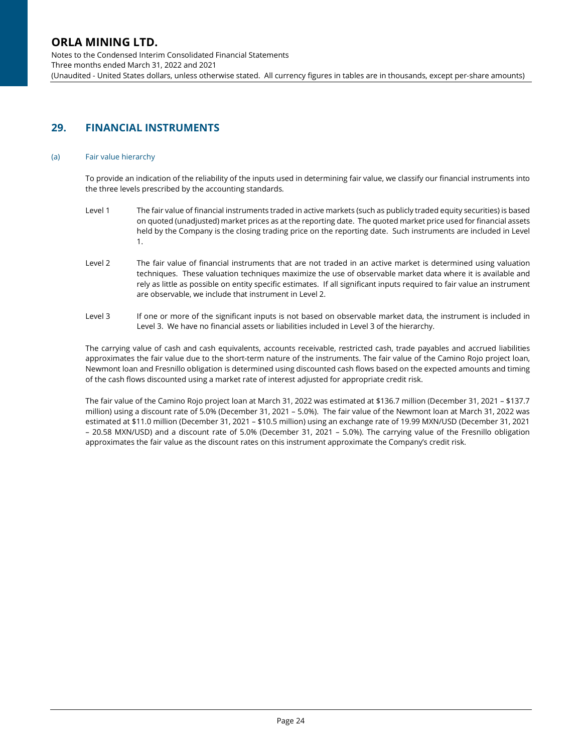Notes to the Condensed Interim Consolidated Financial Statements Three months ended March 31, 2022 and 2021 (Unaudited - United States dollars, unless otherwise stated. All currency figures in tables are in thousands, except per-share amounts)

# 29. FINANCIAL INSTRUMENTS

### (a) Fair value hierarchy

To provide an indication of the reliability of the inputs used in determining fair value, we classify our financial instruments into the three levels prescribed by the accounting standards.

- Level 1 The fair value of financial instruments traded in active markets (such as publicly traded equity securities) is based on quoted (unadjusted) market prices as at the reporting date. The quoted market price used for financial assets held by the Company is the closing trading price on the reporting date. Such instruments are included in Level 1.
- Level 2 The fair value of financial instruments that are not traded in an active market is determined using valuation techniques. These valuation techniques maximize the use of observable market data where it is available and rely as little as possible on entity specific estimates. If all significant inputs required to fair value an instrument are observable, we include that instrument in Level 2.
- Level 3 If one or more of the significant inputs is not based on observable market data, the instrument is included in Level 3. We have no financial assets or liabilities included in Level 3 of the hierarchy.

The carrying value of cash and cash equivalents, accounts receivable, restricted cash, trade payables and accrued liabilities approximates the fair value due to the short-term nature of the instruments. The fair value of the Camino Rojo project loan, Newmont loan and Fresnillo obligation is determined using discounted cash flows based on the expected amounts and timing of the cash flows discounted using a market rate of interest adjusted for appropriate credit risk.

The fair value of the Camino Rojo project loan at March 31, 2022 was estimated at \$136.7 million (December 31, 2021 – \$137.7 million) using a discount rate of 5.0% (December 31, 2021 – 5.0%). The fair value of the Newmont loan at March 31, 2022 was estimated at \$11.0 million (December 31, 2021 – \$10.5 million) using an exchange rate of 19.99 MXN/USD (December 31, 2021 – 20.58 MXN/USD) and a discount rate of 5.0% (December 31, 2021 – 5.0%). The carrying value of the Fresnillo obligation approximates the fair value as the discount rates on this instrument approximate the Company's credit risk.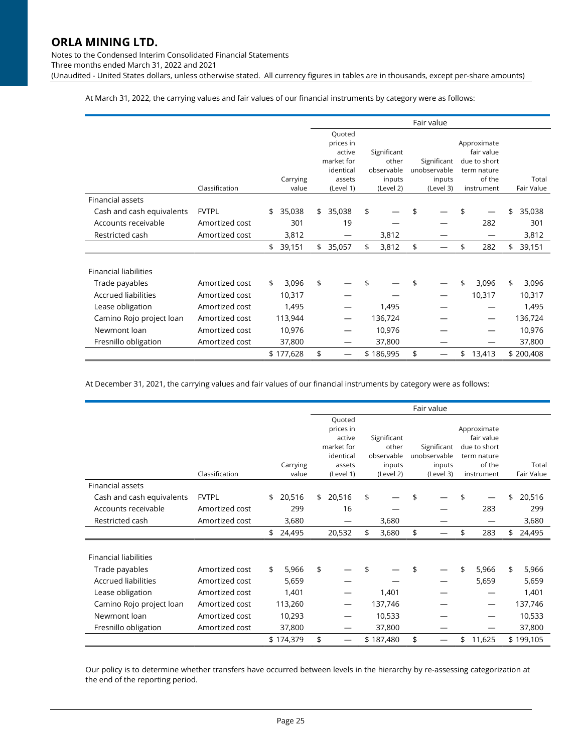Notes to the Condensed Interim Consolidated Financial Statements Three months ended March 31, 2022 and 2021

(Unaudited - United States dollars, unless otherwise stated. All currency figures in tables are in thousands, except per-share amounts)

At March 31, 2022, the carrying values and fair values of our financial instruments by category were as follows:

|                              |                |              | Fair value |                     |    |                      |    |                        |    |                       |    |            |
|------------------------------|----------------|--------------|------------|---------------------|----|----------------------|----|------------------------|----|-----------------------|----|------------|
|                              |                |              |            | Quoted              |    |                      |    |                        |    |                       |    |            |
|                              |                |              |            | prices in           |    |                      |    |                        |    | Approximate           |    |            |
|                              |                |              |            | active              |    | Significant          |    |                        |    | fair value            |    |            |
|                              |                |              |            | market for          |    | other                |    | Significant            |    | due to short          |    |            |
|                              |                | Carrying     |            | identical<br>assets |    | observable<br>inputs |    | unobservable<br>inputs |    | term nature<br>of the |    | Total      |
|                              | Classification | value        |            | (Level 1)           |    | (Level 2)            |    | (Level 3)              |    | instrument            |    | Fair Value |
| Financial assets             |                |              |            |                     |    |                      |    |                        |    |                       |    |            |
| Cash and cash equivalents    | <b>FVTPL</b>   | \$<br>35,038 | \$         | 35,038              | \$ |                      | \$ |                        | \$ |                       | \$ | 35,038     |
| Accounts receivable          | Amortized cost | 301          |            | 19                  |    |                      |    |                        |    | 282                   |    | 301        |
| Restricted cash              | Amortized cost | 3,812        |            |                     |    | 3,812                |    |                        |    |                       |    | 3,812      |
|                              |                | \$<br>39,151 | \$         | 35,057              | \$ | 3,812                | \$ |                        | \$ | 282                   | \$ | 39,151     |
|                              |                |              |            |                     |    |                      |    |                        |    |                       |    |            |
| <b>Financial liabilities</b> |                |              |            |                     |    |                      |    |                        |    |                       |    |            |
| Trade payables               | Amortized cost | \$<br>3,096  | \$         |                     |    |                      | \$ |                        | \$ | 3,096                 | \$ | 3,096      |
| <b>Accrued liabilities</b>   | Amortized cost | 10,317       |            |                     |    |                      |    |                        |    | 10,317                |    | 10,317     |
| Lease obligation             | Amortized cost | 1,495        |            |                     |    | 1,495                |    |                        |    |                       |    | 1,495      |
| Camino Rojo project loan     | Amortized cost | 113,944      |            |                     |    | 136,724              |    |                        |    |                       |    | 136,724    |
| Newmont loan                 | Amortized cost | 10,976       |            |                     |    | 10,976               |    |                        |    |                       |    | 10,976     |
| Fresnillo obligation         | Amortized cost | 37,800       |            |                     |    | 37,800               |    |                        |    |                       |    | 37,800     |
|                              |                | \$177,628    | \$         |                     |    | \$186,995            | \$ |                        | \$ | 13,413                |    | \$200,408  |

At December 31, 2021, the carrying values and fair values of our financial instruments by category were as follows:

|                              |                |              | Fair value |                         |    |                     |    |                             |    |                             |    |            |
|------------------------------|----------------|--------------|------------|-------------------------|----|---------------------|----|-----------------------------|----|-----------------------------|----|------------|
|                              |                |              |            | Quoted                  |    |                     |    |                             |    |                             |    |            |
|                              |                |              |            | prices in               |    |                     |    |                             |    | Approximate                 |    |            |
|                              |                |              |            | active                  |    | Significant         |    |                             |    | fair value                  |    |            |
|                              |                |              |            | market for<br>identical |    | other<br>observable |    | Significant<br>unobservable |    | due to short<br>term nature |    |            |
|                              |                | Carrying     |            | assets                  |    | inputs              |    | inputs                      |    | of the                      |    | Total      |
|                              | Classification | value        |            | (Level 1)               |    | (Level 2)           |    | (Level 3)                   |    | instrument                  |    | Fair Value |
| Financial assets             |                |              |            |                         |    |                     |    |                             |    |                             |    |            |
| Cash and cash equivalents    | <b>FVTPL</b>   | \$<br>20,516 | \$         | 20,516                  | \$ |                     | \$ |                             |    |                             | \$ | 20,516     |
| Accounts receivable          | Amortized cost | 299          |            | 16                      |    |                     |    |                             |    | 283                         |    | 299        |
| Restricted cash              | Amortized cost | 3,680        |            |                         |    | 3,680               |    |                             |    |                             |    | 3,680      |
|                              |                | \$<br>24,495 |            | 20,532                  | \$ | 3,680               | \$ |                             | \$ | 283                         | \$ | 24,495     |
|                              |                |              |            |                         |    |                     |    |                             |    |                             |    |            |
| <b>Financial liabilities</b> |                |              |            |                         |    |                     |    |                             |    |                             |    |            |
| Trade payables               | Amortized cost | \$<br>5,966  | \$         |                         | \$ |                     |    |                             | \$ | 5,966                       | \$ | 5,966      |
| <b>Accrued liabilities</b>   | Amortized cost | 5,659        |            |                         |    |                     |    |                             |    | 5,659                       |    | 5,659      |
| Lease obligation             | Amortized cost | 1,401        |            |                         |    | 1,401               |    |                             |    |                             |    | 1,401      |
| Camino Rojo project loan     | Amortized cost | 113,260      |            |                         |    | 137,746             |    |                             |    |                             |    | 137,746    |
| Newmont loan                 | Amortized cost | 10,293       |            |                         |    | 10,533              |    |                             |    |                             |    | 10,533     |
| Fresnillo obligation         | Amortized cost | 37,800       |            |                         |    | 37,800              |    |                             |    |                             |    | 37,800     |
|                              |                | \$174,379    | \$         |                         |    | \$187,480           | \$ |                             | \$ | 11,625                      |    | \$199,105  |

Our policy is to determine whether transfers have occurred between levels in the hierarchy by re-assessing categorization at the end of the reporting period.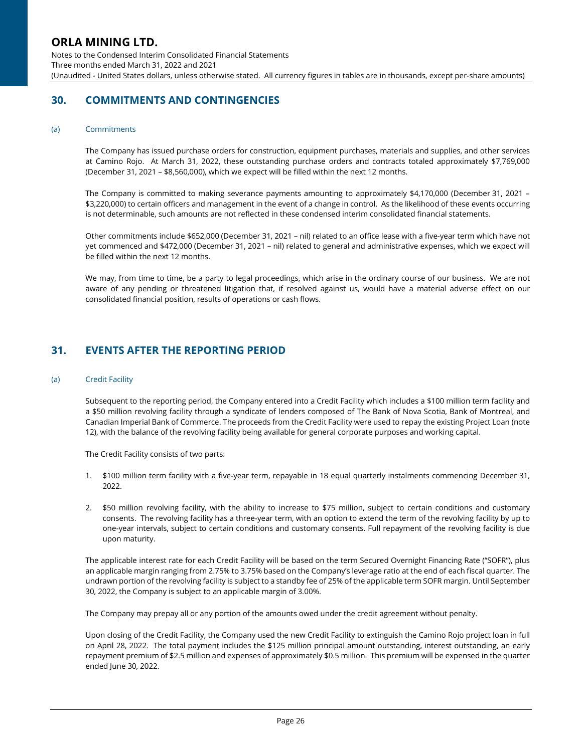Notes to the Condensed Interim Consolidated Financial Statements Three months ended March 31, 2022 and 2021 (Unaudited - United States dollars, unless otherwise stated. All currency figures in tables are in thousands, except per-share amounts)

## 30. COMMITMENTS AND CONTINGENCIES

#### (a) Commitments

The Company has issued purchase orders for construction, equipment purchases, materials and supplies, and other services at Camino Rojo. At March 31, 2022, these outstanding purchase orders and contracts totaled approximately \$7,769,000 (December 31, 2021 – \$8,560,000), which we expect will be filled within the next 12 months.

The Company is committed to making severance payments amounting to approximately \$4,170,000 (December 31, 2021 – \$3,220,000) to certain officers and management in the event of a change in control. As the likelihood of these events occurring is not determinable, such amounts are not reflected in these condensed interim consolidated financial statements.

Other commitments include \$652,000 (December 31, 2021 – nil) related to an office lease with a five-year term which have not yet commenced and \$472,000 (December 31, 2021 – nil) related to general and administrative expenses, which we expect will be filled within the next 12 months.

We may, from time to time, be a party to legal proceedings, which arise in the ordinary course of our business. We are not aware of any pending or threatened litigation that, if resolved against us, would have a material adverse effect on our consolidated financial position, results of operations or cash flows.

## 31. EVENTS AFTER THE REPORTING PERIOD

#### (a) Credit Facility

Subsequent to the reporting period, the Company entered into a Credit Facility which includes a \$100 million term facility and a \$50 million revolving facility through a syndicate of lenders composed of The Bank of Nova Scotia, Bank of Montreal, and Canadian Imperial Bank of Commerce. The proceeds from the Credit Facility were used to repay the existing Project Loan (note 12), with the balance of the revolving facility being available for general corporate purposes and working capital.

The Credit Facility consists of two parts:

- 1. \$100 million term facility with a five-year term, repayable in 18 equal quarterly instalments commencing December 31, 2022.
- 2. \$50 million revolving facility, with the ability to increase to \$75 million, subject to certain conditions and customary consents. The revolving facility has a three-year term, with an option to extend the term of the revolving facility by up to one-year intervals, subject to certain conditions and customary consents. Full repayment of the revolving facility is due upon maturity.

The applicable interest rate for each Credit Facility will be based on the term Secured Overnight Financing Rate ("SOFR"), plus an applicable margin ranging from 2.75% to 3.75% based on the Company's leverage ratio at the end of each fiscal quarter. The undrawn portion of the revolving facility is subject to a standby fee of 25% of the applicable term SOFR margin. Until September 30, 2022, the Company is subject to an applicable margin of 3.00%.

The Company may prepay all or any portion of the amounts owed under the credit agreement without penalty.

Upon closing of the Credit Facility, the Company used the new Credit Facility to extinguish the Camino Rojo project loan in full on April 28, 2022. The total payment includes the \$125 million principal amount outstanding, interest outstanding, an early repayment premium of \$2.5 million and expenses of approximately \$0.5 million. This premium will be expensed in the quarter ended June 30, 2022.